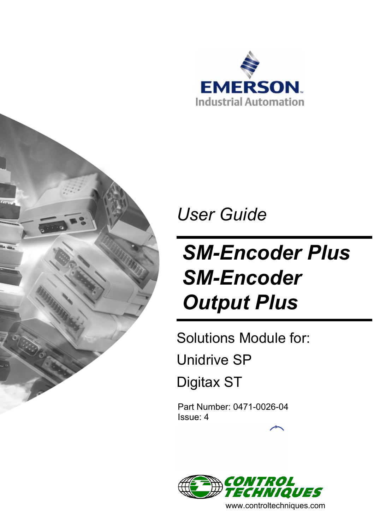

## *User Guide*

# *SM-Encoder Plus SM-Encoder Output Plus*

Solutions Module for: Unidrive SP Digitax ST

Part Number: 0471-0026-04 Issue: 4



www.controltechniques.com

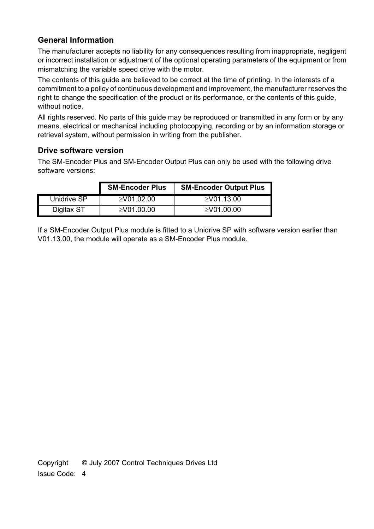#### **General Information**

The manufacturer accepts no liability for any consequences resulting from inappropriate, negligent or incorrect installation or adjustment of the optional operating parameters of the equipment or from mismatching the variable speed drive with the motor.

The contents of this guide are believed to be correct at the time of printing. In the interests of a commitment to a policy of continuous development and improvement, the manufacturer reserves the right to change the specification of the product or its performance, or the contents of this guide, without notice.

All rights reserved. No parts of this guide may be reproduced or transmitted in any form or by any means, electrical or mechanical including photocopying, recording or by an information storage or retrieval system, without permission in writing from the publisher.

#### **Drive software version**

The SM-Encoder Plus and SM-Encoder Output Plus can only be used with the following drive software versions:

|             | <b>SM-Encoder Plus</b> | <b>SM-Encoder Output Plus</b> |
|-------------|------------------------|-------------------------------|
| Unidrive SP | >V01.02.00             | $>$ V01.13.00                 |
| Digitax ST  | $>$ V01.00.00          | $>$ V01.00.00                 |

If a SM-Encoder Output Plus module is fitted to a Unidrive SP with software version earlier than V01.13.00, the module will operate as a SM-Encoder Plus module.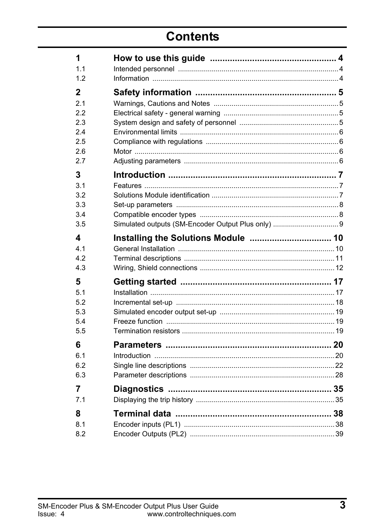## **Contents**

| 1   |                                     |  |
|-----|-------------------------------------|--|
| 1.1 |                                     |  |
| 1.2 |                                     |  |
| 2   |                                     |  |
| 2.1 |                                     |  |
| 2.2 |                                     |  |
| 2.3 |                                     |  |
| 2.4 |                                     |  |
| 2.5 |                                     |  |
| 2.6 |                                     |  |
| 2.7 |                                     |  |
| 3   |                                     |  |
| 3.1 |                                     |  |
| 3.2 |                                     |  |
| 3.3 |                                     |  |
| 3.4 |                                     |  |
| 3.5 |                                     |  |
| 4   | Installing the Solutions Module  10 |  |
|     |                                     |  |
| 4.1 |                                     |  |
| 4.2 |                                     |  |
| 4.3 |                                     |  |
| 5   |                                     |  |
| 5.1 |                                     |  |
| 52  |                                     |  |
| 5.3 |                                     |  |
| 5.4 |                                     |  |
| 5.5 |                                     |  |
| 6   |                                     |  |
| 6.1 |                                     |  |
| 6.2 |                                     |  |
| 6.3 |                                     |  |
| 7   |                                     |  |
| 7.1 |                                     |  |
| 8   |                                     |  |
| 8.1 |                                     |  |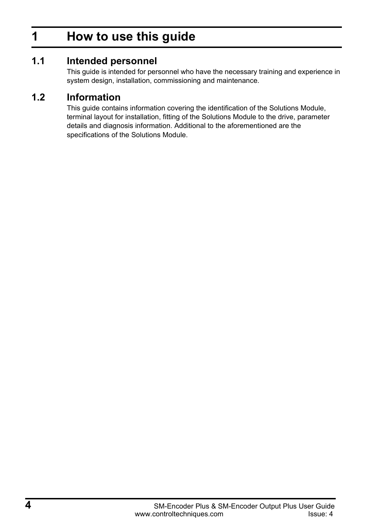## <span id="page-3-3"></span><span id="page-3-0"></span>**1 How to use this guide**

#### <span id="page-3-1"></span>**1.1 Intended personnel**

This guide is intended for personnel who have the necessary training and experience in system design, installation, commissioning and maintenance.

#### <span id="page-3-2"></span>**1.2 Information**

This guide contains information covering the identification of the Solutions Module, terminal layout for installation, fitting of the Solutions Module to the drive, parameter details and diagnosis information. Additional to the aforementioned are the specifications of the Solutions Module.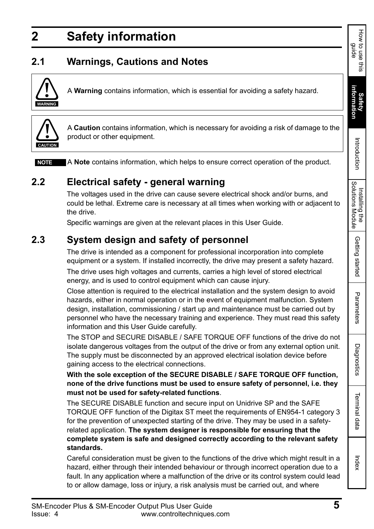## <span id="page-4-4"></span><span id="page-4-0"></span>**2 Safety information**

#### <span id="page-4-9"></span><span id="page-4-1"></span>**2.1 Warnings, Cautions and Notes**



<span id="page-4-7"></span><span id="page-4-5"></span>A **Warning** contains information, which is essential for avoiding a safety hazard.



A **Caution** contains information, which is necessary for avoiding a risk of damage to the product or other equipment.

A **Note** contains information, which helps to ensure correct operation of the product. **NOTE**

#### <span id="page-4-2"></span>**2.2 Electrical safety - general warning**

<span id="page-4-6"></span>The voltages used in the drive can cause severe electrical shock and/or burns, and could be lethal. Extreme care is necessary at all times when working with or adjacent to the drive.

<span id="page-4-8"></span>Specific warnings are given at the relevant places in this User Guide.

#### <span id="page-4-3"></span>**2.3 System design and safety of personnel**

The drive is intended as a component for professional incorporation into complete equipment or a system. If installed incorrectly, the drive may present a safety hazard.

The drive uses high voltages and currents, carries a high level of stored electrical energy, and is used to control equipment which can cause injury.

Close attention is required to the electrical installation and the system design to avoid hazards, either in normal operation or in the event of equipment malfunction. System design, installation, commissioning / start up and maintenance must be carried out by personnel who have the necessary training and experience. They must read this safety information and this User Guide carefully.

The STOP and SECURE DISABLE / SAFE TORQUE OFF functions of the drive do not isolate dangerous voltages from the output of the drive or from any external option unit. The supply must be disconnected by an approved electrical isolation device before gaining access to the electrical connections.

**With the sole exception of the SECURE DISABLE / SAFE TORQUE OFF function, none of the drive functions must be used to ensure safety of personnel, i.e. they must not be used for safety-related functions**.

The SECURE DISABLE function and secure input on Unidrive SP and the SAFE TORQUE OFF function of the Digitax ST meet the requirements of EN954-1 category 3 for the prevention of unexpected starting of the drive. They may be used in a safetyrelated application. **The system designer is responsible for ensuring that the complete system is safe and designed correctly according to the relevant safety standards.**

Careful consideration must be given to the functions of the drive which might result in a hazard, either through their intended behaviour or through incorrect operation due to a fault. In any application where a malfunction of the drive or its control system could lead to or allow damage, loss or injury, a risk analysis must be carried out, and where

[How to use this](#page-3-3)  [guide](#page-3-3)

How to use this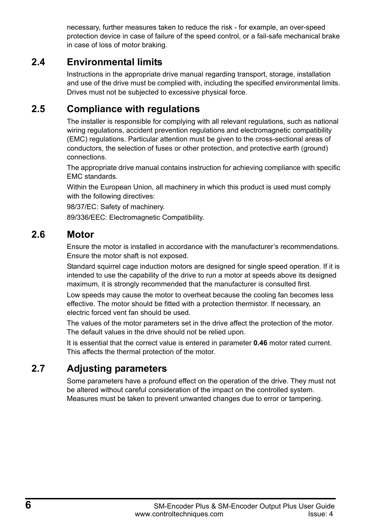necessary, further measures taken to reduce the risk - for example, an over-speed protection device in case of failure of the speed control, or a fail-safe mechanical brake in case of loss of motor braking.

#### <span id="page-5-0"></span>**2.4 Environmental limits**

<span id="page-5-5"></span>Instructions in the appropriate drive manual regarding transport, storage, installation and use of the drive must be complied with, including the specified environmental limits. Drives must not be subjected to excessive physical force.

#### <span id="page-5-1"></span>**2.5 Compliance with regulations**

<span id="page-5-4"></span>The installer is responsible for complying with all relevant regulations, such as national wiring regulations, accident prevention regulations and electromagnetic compatibility (EMC) regulations. Particular attention must be given to the cross-sectional areas of conductors, the selection of fuses or other protection, and protective earth (ground) connections.

The appropriate drive manual contains instruction for achieving compliance with specific EMC standards.

Within the European Union, all machinery in which this product is used must comply with the following directives:

98/37/EC: Safety of machinery.

89/336/EEC: Electromagnetic Compatibility.

#### <span id="page-5-2"></span>**2.6 Motor**

Ensure the motor is installed in accordance with the manufacturer's recommendations. Ensure the motor shaft is not exposed.

Standard squirrel cage induction motors are designed for single speed operation. If it is intended to use the capability of the drive to run a motor at speeds above its designed maximum, it is strongly recommended that the manufacturer is consulted first.

Low speeds may cause the motor to overheat because the cooling fan becomes less effective. The motor should be fitted with a protection thermistor. If necessary, an electric forced vent fan should be used.

The values of the motor parameters set in the drive affect the protection of the motor. The default values in the drive should not be relied upon.

<span id="page-5-6"></span>It is essential that the correct value is entered in parameter **0.46** motor rated current. This affects the thermal protection of the motor.

#### <span id="page-5-3"></span>**2.7 Adjusting parameters**

Some parameters have a profound effect on the operation of the drive. They must not be altered without careful consideration of the impact on the controlled system. Measures must be taken to prevent unwanted changes due to error or tampering.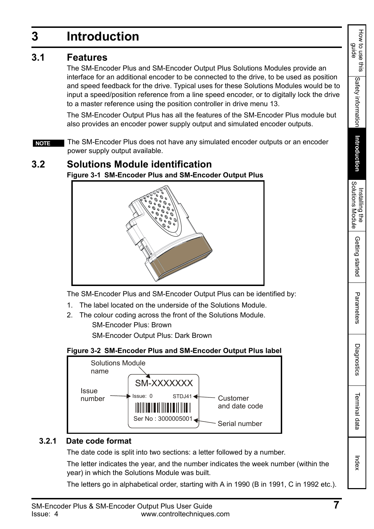# How to use this [How to use this](#page-3-3)  [guide](#page-3-3)

Diagnostics [Diagnostics](#page-34-2)

[Terminal data](#page-37-2)

lerminal l data

[Index](#page-39-0)

## <span id="page-6-3"></span><span id="page-6-0"></span>**3 Introduction**

#### <span id="page-6-1"></span>**3.1 Features**

<span id="page-6-4"></span>The SM-Encoder Plus and SM-Encoder Output Plus Solutions Modules provide an interface for an additional encoder to be connected to the drive, to be used as position and speed feedback for the drive. Typical uses for these Solutions Modules would be to input a speed/position reference from a line speed encoder, or to digitally lock the drive to a master reference using the position controller in drive menu 13.

The SM-Encoder Output Plus has all the features of the SM-Encoder Plus module but also provides an encoder power supply output and simulated encoder outputs.

The SM-Encoder Plus does not have any simulated encoder outputs or an encoder power supply output available. **NOTE**

#### <span id="page-6-2"></span>**3.2 Solutions Module identification Figure 3-1 SM-Encoder Plus and SM-Encoder Output Plus**

<span id="page-6-5"></span>

The SM-Encoder Plus and SM-Encoder Output Plus can be identified by:

- 1. The label located on the underside of the Solutions Module.
- 2. The colour coding across the front of the Solutions Module. SM-Encoder Plus: Brown

SM-Encoder Output Plus: Dark Brown

#### **Figure 3-2 SM-Encoder Plus and SM-Encoder Output Plus label**



#### **3.2.1 Date code format**

The date code is split into two sections: a letter followed by a number.

The letter indicates the year, and the number indicates the week number (within the year) in which the Solutions Module was built.

The letters go in alphabetical order, starting with A in 1990 (B in 1991, C in 1992 etc.).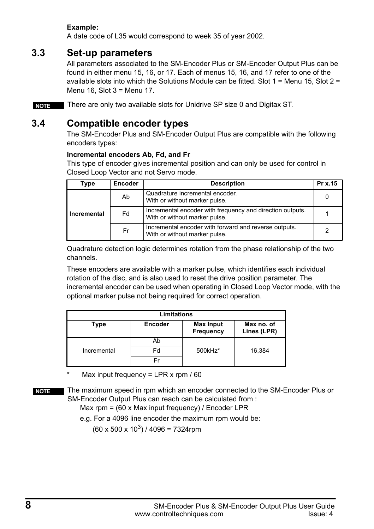**Example:**

<span id="page-7-4"></span>A date code of L35 would correspond to week 35 of year 2002.

#### <span id="page-7-0"></span>**3.3 Set-up parameters**

All parameters associated to the SM-Encoder Plus or SM-Encoder Output Plus can be found in either menu 15, 16, or 17. Each of menus 15, 16, and 17 refer to one of the available slots into which the Solutions Module can be fitted. Slot  $1 =$  Menu 15, Slot  $2 =$ Menu 16, Slot  $3$  = Menu 17.

**NOTE** There are only two available slots for Unidrive SP size 0 and Digitax ST.

#### <span id="page-7-1"></span>**3.4 Compatible encoder types**

The SM-Encoder Plus and SM-Encoder Output Plus are compatible with the following encoders types:

#### <span id="page-7-2"></span>**Incremental encoders Ab, Fd, and Fr**

This type of encoder gives incremental position and can only be used for control in Closed Loop Vector and not Servo mode.

| Type        | <b>Encoder</b> | <b>Description</b>                                                                         | Pr x.15 |
|-------------|----------------|--------------------------------------------------------------------------------------------|---------|
|             | Ab             | Quadrature incremental encoder.<br>With or without marker pulse.                           | 0       |
| Incremental | Fd             | Incremental encoder with frequency and direction outputs.<br>With or without marker pulse. |         |
|             | Fr             | Incremental encoder with forward and reverse outputs.<br>With or without marker pulse.     | 2       |

Quadrature detection logic determines rotation from the phase relationship of the two channels.

These encoders are available with a marker pulse, which identifies each individual rotation of the disc, and is also used to reset the drive position parameter. The incremental encoder can be used when operating in Closed Loop Vector mode, with the optional marker pulse not being required for correct operation.

<span id="page-7-3"></span>

| Limitations                                                                          |    |         |        |  |
|--------------------------------------------------------------------------------------|----|---------|--------|--|
| <b>Max Input</b><br><b>Encoder</b><br>Max no. of<br>Type<br>Lines (LPR)<br>Frequency |    |         |        |  |
|                                                                                      | Ab |         |        |  |
| Incremental                                                                          | Fd | 500kHz* | 16,384 |  |
|                                                                                      | F۱ |         |        |  |

Max input frequency = LPR  $x$  rpm / 60

The maximum speed in rpm which an encoder connected to the SM-Encoder Plus or SM-Encoder Output Plus can reach can be calculated from : **NOTE**

Max rpm = (60 x Max input frequency) / Encoder LPR

e.g. For a 4096 line encoder the maximum rpm would be:

 $(60 \times 500 \times 10^3)$  / 4096 = 7324rpm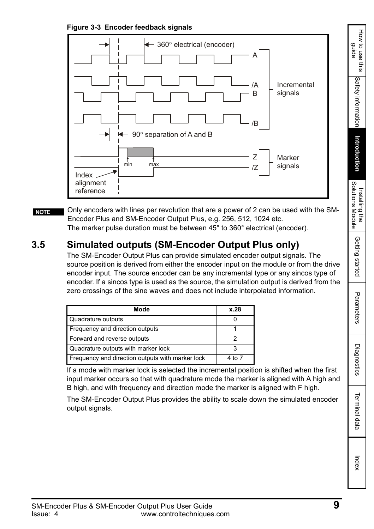**Figure 3-3 Encoder feedback signals**



#### Only encoders with lines per revolution that are a power of 2 can be used with the SM-Encoder Plus and SM-Encoder Output Plus, e.g. 256, 512, 1024 etc. The marker pulse duration must be between 45° to 360° electrical (encoder). **NOTE**

#### <span id="page-8-0"></span>**3.5 Simulated outputs (SM-Encoder Output Plus only)**

The SM-Encoder Output Plus can provide simulated encoder output signals. The source position is derived from either the encoder input on the module or from the drive encoder input. The source encoder can be any incremental type or any sincos type of encoder. If a sincos type is used as the source, the simulation output is derived from the zero crossings of the sine waves and does not include interpolated information.

| Mode                                             | x.28   |
|--------------------------------------------------|--------|
| Quadrature outputs                               |        |
| Frequency and direction outputs                  |        |
| Forward and reverse outputs                      |        |
| Quadrature outputs with marker lock              |        |
| Frequency and direction outputs with marker lock | 4 to 7 |

If a mode with marker lock is selected the incremental position is shifted when the first input marker occurs so that with quadrature mode the marker is aligned with A high and B high, and with frequency and direction mode the marker is aligned with F high.

The SM-Encoder Output Plus provides the ability to scale down the simulated encoder output signals.

[guide](#page-3-3)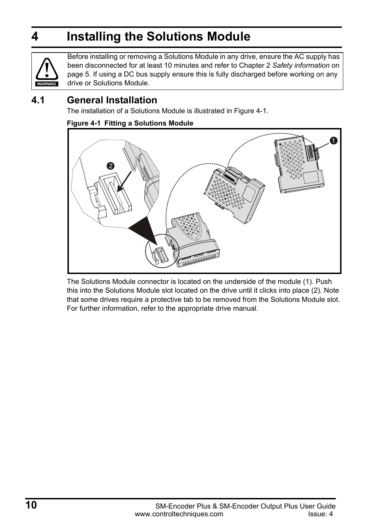## <span id="page-9-0"></span>**4 Installing the Solutions Module**



<span id="page-9-2"></span>Before installing or removing a Solutions Module in any drive, ensure the AC supply has been disconnected for at least 10 minutes and refer to Chapter 2 *[Safety information](#page-4-4)* on [page 5](#page-4-4). If using a DC bus supply ensure this is fully discharged before working on any drive or Solutions Module.

#### <span id="page-9-1"></span>**4.1 General Installation**

The installation of a Solutions Module is illustrated in Figure 4-1.

#### **Figure 4-1 Fitting a Solutions Module**



The Solutions Module connector is located on the underside of the module (1). Push this into the Solutions Module slot located on the drive until it clicks into place (2). Note that some drives require a protective tab to be removed from the Solutions Module slot. For further information, refer to the appropriate drive manual.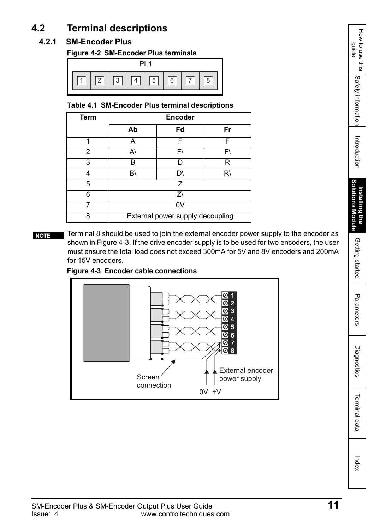#### <span id="page-10-0"></span>**4.2 Terminal descriptions**

#### **4.2.1 SM-Encoder Plus**

#### <span id="page-10-2"></span>**Figure 4-2 SM-Encoder Plus terminals**



#### **Table 4.1 SM-Encoder Plus terminal descriptions**

| Term | <b>Encoder</b>                   |    |    |
|------|----------------------------------|----|----|
|      | Ab                               | Fd | Fr |
|      | А                                |    |    |
| 2    | A١                               | F١ | F  |
| 3    | R                                | n  | R  |
|      | B١                               | D. | R١ |
| 5    | 7                                |    |    |
| հ    | Z١                               |    |    |
|      | ΩV                               |    |    |
| ጸ    | External power supply decoupling |    |    |

Terminal 8 should be used to join the external encoder power supply to the encoder as shown in [Figure 4-3.](#page-10-1) If the drive encoder supply is to be used for two encoders, the user must ensure the total load does not exceed 300mA for 5V and 8V encoders and 200mA for 15V encoders. **NOTE**

#### <span id="page-10-1"></span>**Figure 4-3 Encoder cable connections**



How to use this<br>[guide](#page-3-3) Safety information [Safety information](#page-4-4)

[How to use this](#page-3-3) 

Introduction [Introduction](#page-6-3)

**[Installing the Solutions Module](#page-9-0)**

Diagnostics [Diagnostics](#page-34-2)

 [Terminal data](#page-37-2)Terminal l data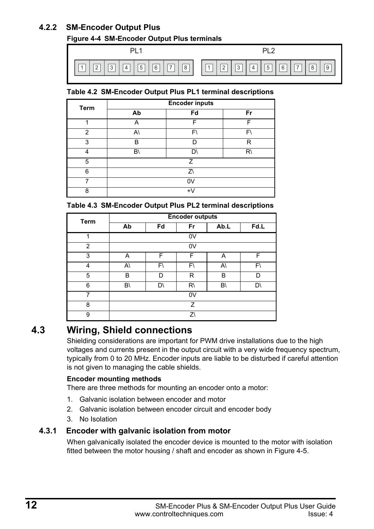#### **4.2.2 SM-Encoder Output Plus**

#### **Figure 4-4 SM-Encoder Output Plus terminals**



#### **Table 4.2 SM-Encoder Output Plus PL1 terminal descriptions**

| <b>Term</b> | <b>Encoder inputs</b> |    |    |  |
|-------------|-----------------------|----|----|--|
|             | Ab                    | Fd | Fr |  |
|             |                       | F  | F  |  |
| c           | A١                    | F١ | F  |  |
| 3           | R                     | ח  | R  |  |
|             | B١                    |    | R١ |  |
| 5           | 7                     |    |    |  |
| 6           | Z١                    |    |    |  |
|             | 0V                    |    |    |  |
| 8           | $+V$                  |    |    |  |

**Table 4.3 SM-Encoder Output Plus PL2 terminal descriptions**

| <b>Term</b>    |              |    | <b>Encoder outputs</b> |      |      |
|----------------|--------------|----|------------------------|------|------|
|                | Ab           | Fd | Fr                     | Ab.L | Fd.L |
| 1              |              |    | 0V                     |      |      |
| $\overline{2}$ |              |    | 0V                     |      |      |
| 3              | A            | F  | F                      | A    | F    |
| 4              | $A\setminus$ | F١ | F١                     | A١   | F١   |
| 5              | B            | D  | R                      | B    | D    |
| 6              | B\           | D١ | $R\setminus$           | B\   | D١   |
|                | 0V           |    |                        |      |      |
| 8              | Z            |    |                        |      |      |
| 9              | Z١           |    |                        |      |      |

#### <span id="page-11-0"></span>**4.3 Wiring, Shield connections**

<span id="page-11-4"></span><span id="page-11-1"></span>Shielding considerations are important for PWM drive installations due to the high voltages and currents present in the output circuit with a very wide frequency spectrum, typically from 0 to 20 MHz. Encoder inputs are liable to be disturbed if careful attention is not given to managing the cable shields.

#### **Encoder mounting methods**

There are three methods for mounting an encoder onto a motor:

- <span id="page-11-3"></span>1. Galvanic isolation between encoder and motor
- 2. Galvanic isolation between encoder circuit and encoder body
- <span id="page-11-2"></span>3. No Isolation

#### **4.3.1 Encoder with galvanic isolation from motor**

When galvanically isolated the encoder device is mounted to the motor with isolation fitted between the motor housing / shaft and encoder as shown in Figure 4-5.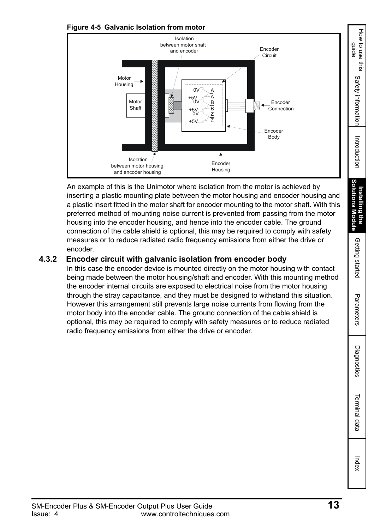

#### **Figure 4-5 Galvanic Isolation from motor**

An example of this is the Unimotor where isolation from the motor is achieved by inserting a plastic mounting plate between the motor housing and encoder housing and a plastic insert fitted in the motor shaft for encoder mounting to the motor shaft. With this preferred method of mounting noise current is prevented from passing from the motor housing into the encoder housing, and hence into the encoder cable. The ground connection of the cable shield is optional, this may be required to comply with safety measures or to reduce radiated radio frequency emissions from either the drive or encoder.

#### **4.3.2 Encoder circuit with galvanic isolation from encoder body**

<span id="page-12-0"></span>In this case the encoder device is mounted directly on the motor housing with contact being made between the motor housing/shaft and encoder. With this mounting method the encoder internal circuits are exposed to electrical noise from the motor housing through the stray capacitance, and they must be designed to withstand this situation. However this arrangement still prevents large noise currents from flowing from the motor body into the encoder cable. The ground connection of the cable shield is optional, this may be required to comply with safety measures or to reduce radiated radio frequency emissions from either the drive or encoder.

[How to use this](#page-3-3) 

 $\Xi$ 

How to use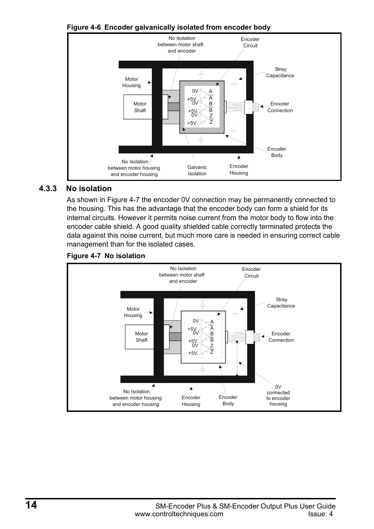



#### **4.3.3 No isolation**

<span id="page-13-0"></span>As shown in Figure 4-7 the encoder 0V connection may be permanently connected to the housing. This has the advantage that the encoder body can form a shield for its internal circuits. However it permits noise current from the motor body to flow into the encoder cable shield. A good quality shielded cable correctly terminated protects the data against this noise current, but much more care is needed in ensuring correct cable management than for the isolated cases.



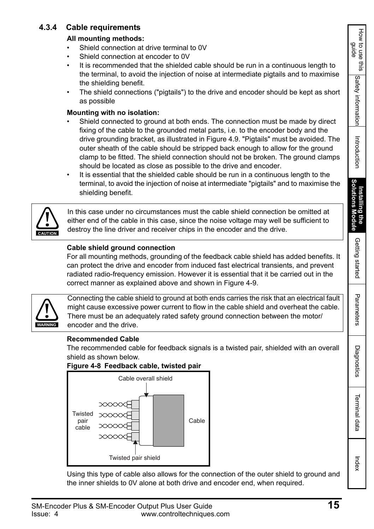**Solutions Module** 

[Getting started](#page-16-2)

Getting startec

Parameters [Parameters](#page-19-2)

Diagnostics [Diagnostics](#page-34-2)

[Terminal data](#page-37-2)

lerminal data

[Index](#page-39-0)

#### **4.3.4 Cable requirements**

#### <span id="page-14-0"></span>**All mounting methods:**

- Shield connection at drive terminal to 0V
- Shield connection at encoder to 0V
- It is recommended that the shielded cable should be run in a continuous length to the terminal, to avoid the injection of noise at intermediate pigtails and to maximise the shielding benefit.
- <span id="page-14-3"></span>The shield connections ("pigtails") to the drive and encoder should be kept as short as possible

#### <span id="page-14-2"></span>**Mounting with no isolation:**

- Shield connected to ground at both ends. The connection must be made by direct fixing of the cable to the grounded metal parts, i.e. to the encoder body and the drive grounding bracket, as illustrated in Figure 4.9. "Pigtails" must be avoided. The outer sheath of the cable should be stripped back enough to allow for the ground clamp to be fitted. The shield connection should not be broken. The ground clamps should be located as close as possible to the drive and encoder.
- It is essential that the shielded cable should be run in a continuous length to the terminal, to avoid the injection of noise at intermediate "pigtails" and to maximise the shielding benefit.



In this case under no circumstances must the cable shield connection be omitted at either end of the cable in this case, since the noise voltage may well be sufficient to destroy the line driver and receiver chips in the encoder and the drive.

#### **Cable shield ground connection**

For all mounting methods, grounding of the feedback cable shield has added benefits. It can protect the drive and encoder from induced fast electrical transients, and prevent radiated radio-frequency emission. However it is essential that it be carried out in the correct manner as explained above and shown in [Figure 4-9.](#page-15-0)



Connecting the cable shield to ground at both ends carries the risk that an electrical fault might cause excessive power current to flow in the cable shield and overheat the cable. There must be an adequately rated safety ground connection between the motor/ encoder and the drive.

#### **Recommended Cable**

The recommended cable for feedback signals is a twisted pair, shielded with an overall shield as shown below.

#### <span id="page-14-1"></span>**Figure 4-8 Feedback cable, twisted pair**



Using this type of cable also allows for the connection of the outer shield to ground and the inner shields to 0V alone at both drive and encoder end, when required.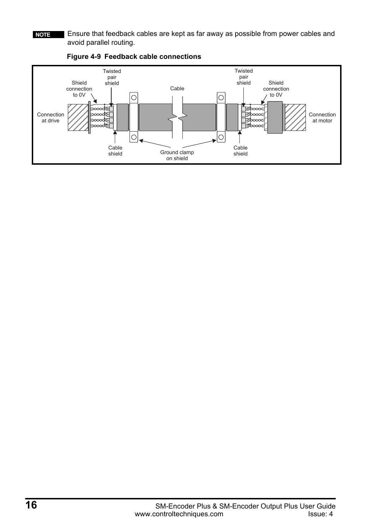#### Ensure that feedback cables are kept as far away as possible from power cables and avoid parallel routing. **NOTE**



<span id="page-15-2"></span><span id="page-15-1"></span><span id="page-15-0"></span>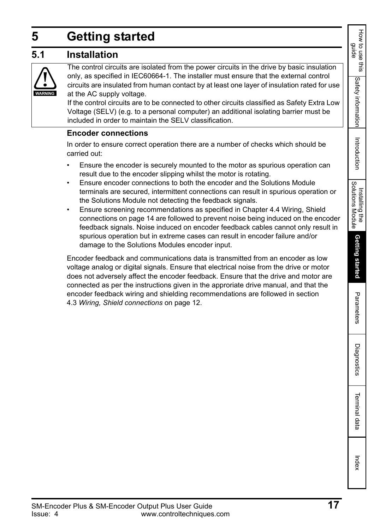## <span id="page-16-2"></span><span id="page-16-0"></span>**5 Getting started**

#### <span id="page-16-1"></span>**5.1 Installation**



<span id="page-16-4"></span>The control circuits are isolated from the power circuits in the drive by basic insulation only, as specified in IEC60664-1. The installer must ensure that the external control circuits are insulated from human contact by at least one layer of insulation rated for use at the AC supply voltage.

If the control circuits are to be connected to other circuits classified as Safety Extra Low Voltage (SELV) (e.g. to a personal computer) an additional isolating barrier must be included in order to maintain the SELV classification.

#### **Encoder connections**

In order to ensure correct operation there are a number of checks which should be carried out:

- Ensure the encoder is securely mounted to the motor as spurious operation can result due to the encoder slipping whilst the motor is rotating.
- Ensure encoder connections to both the encoder and the Solutions Module terminals are secured, intermittent connections can result in spurious operation or the Solutions Module not detecting the feedback signals.
- Ensure screening recommendations as specified in Chapter 4.4 Wiring, Shield connections on page 14 are followed to prevent noise being induced on the encoder feedback signals. Noise induced on encoder feedback cables cannot only result in spurious operation but in extreme cases can result in encoder failure and/or damage to the Solutions Modules encoder input.

<span id="page-16-3"></span>Encoder feedback and communications data is transmitted from an encoder as low voltage analog or digital signals. Ensure that electrical noise from the drive or motor does not adversely affect the encoder feedback. Ensure that the drive and motor are connected as per the instructions given in the approriate drive manual, and that the encoder feedback wiring and shielding recommendations are followed in [section](#page-11-1)  4.3 *[Wiring, Shield connections](#page-11-1)* on page 12.

l data

[Index](#page-39-0)

[How to use this](#page-3-3)  [guide](#page-3-3)

How to use this

[Safety information](#page-4-4)

Safety information

Introduction [Introduction](#page-6-3)

[Installing the Solutions Module](#page-9-2)

**[Getting started](#page-16-0)**

Getting started

[Parameters](#page-19-2)

Parameters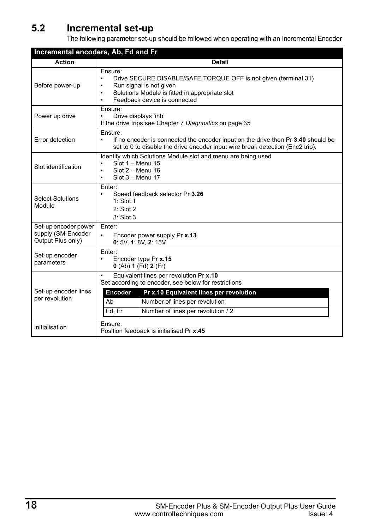#### <span id="page-17-0"></span>**5.2 Incremental set-up**

<span id="page-17-1"></span>The following parameter set-up should be followed when operating with an Incremental Encoder

| Incremental encoders, Ab, Fd and Fr                             |                                                                                                                                                                                                                                               |  |  |
|-----------------------------------------------------------------|-----------------------------------------------------------------------------------------------------------------------------------------------------------------------------------------------------------------------------------------------|--|--|
| <b>Action</b>                                                   | <b>Detail</b>                                                                                                                                                                                                                                 |  |  |
| Before power-up                                                 | Ensure:<br>$\bullet$<br>Drive SECURE DISABLE/SAFE TORQUE OFF is not given (terminal 31)<br>Run signal is not given<br>$\bullet$<br>Solutions Module is fitted in appropriate slot<br>$\bullet$<br>Feedback device is connected<br>$\bullet$   |  |  |
| Power up drive                                                  | Ensure:<br>Drive displays 'inh'<br>٠<br>If the drive trips see Chapter 7 Diagnostics on page 35                                                                                                                                               |  |  |
| Error detection                                                 | Ensure:<br>If no encoder is connected the encoder input on the drive then Pr 3.40 should be<br>$\bullet$<br>set to 0 to disable the drive encoder input wire break detection (Enc2 trip).                                                     |  |  |
| Slot identification                                             | Identify which Solutions Module slot and menu are being used<br>Slot $1 -$ Menu 15<br>$Slot 2 - Menu 16$<br>$\bullet$<br>$Slot 3 - Menu 17$<br>$\bullet$                                                                                      |  |  |
| <b>Select Solutions</b><br>Module                               | Enter:<br>Speed feedback selector Pr 3.26<br>$1:$ Slot 1<br>$2:$ Slot $2$<br>$3:$ Slot $3$                                                                                                                                                    |  |  |
| Set-up encoder power<br>supply (SM-Encoder<br>Output Plus only) | Enter:-<br>$\bullet$<br>Encoder power supply Pr x.13.<br>0: 5V, 1: 8V, 2: 15V                                                                                                                                                                 |  |  |
| Set-up encoder<br>parameters                                    | Enter:<br>Encoder type Pr x.15<br>$\bullet$<br>$0$ (Ab) $1$ (Fd) $2$ (Fr)                                                                                                                                                                     |  |  |
| Set-up encoder lines<br>per revolution                          | Equivalent lines per revolution Pr x.10<br>Set according to encoder, see below for restrictions<br>Encoder<br>Pr x.10 Equivalent lines per revolution<br>Number of lines per revolution<br>Ab<br>Number of lines per revolution / 2<br>Fd. Fr |  |  |
| Initialisation                                                  | Ensure:<br>Position feedback is initialised Pr x.45                                                                                                                                                                                           |  |  |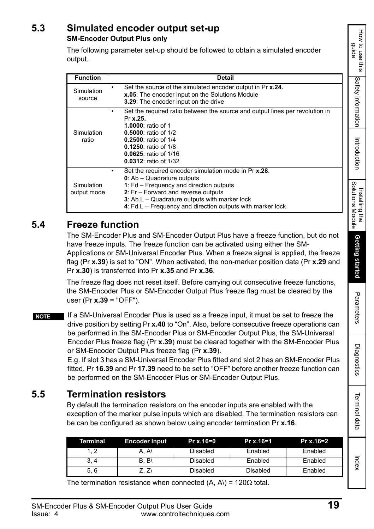## <span id="page-18-0"></span>**5.3 Simulated encoder output set-up**

#### <span id="page-18-3"></span>**SM-Encoder Output Plus only**

The following parameter set-up should be followed to obtain a simulated encoder output.

| <b>Function</b>           | <b>Detail</b>                                                                                                                                                                                                                                                                              |
|---------------------------|--------------------------------------------------------------------------------------------------------------------------------------------------------------------------------------------------------------------------------------------------------------------------------------------|
| Simulation<br>source      | Set the source of the simulated encoder output in Pr x.24.<br>٠<br>x.05: The encoder input on the Solutions Module<br>3.29: The encoder input on the drive                                                                                                                                 |
| Simulation<br>ratio       | Set the required ratio between the source and output lines per revolution in<br>٠<br>Pr x.25.<br>1.0000: ratio of 1<br>$0.5000$ : ratio of $1/2$<br>$0.2500$ : ratio of $1/4$<br>$0.1250$ : ratio of $1/8$<br>$0.0625$ : ratio of 1/16<br>$0.0312$ : ratio of $1/32$                       |
| Simulation<br>output mode | Set the required encoder simulation mode in Pr x.28.<br>٠<br>$0:$ Ab – Quadrature outputs<br>1: Fd - Frequency and direction outputs<br>2: Fr – Forward and reverse outputs<br>3: Ab.L - Quadrature outputs with marker lock<br>4: Fd.L – Frequency and direction outputs with marker lock |

#### <span id="page-18-1"></span>**5.4 Freeze function**

The SM-Encoder Plus and SM-Encoder Output Plus have a freeze function, but do not have freeze inputs. The freeze function can be activated using either the SM-Applications or SM-Universal Encoder Plus. When a freeze signal is applied, the freeze flag (Pr **x.39**) is set to "ON". When activated, the non-marker position data (Pr **x.29** and Pr **x.30**) is transferred into Pr **x.35** and Pr **x.36**.

The freeze flag does not reset itself. Before carrying out consecutive freeze functions, the SM-Encoder Plus or SM-Encoder Output Plus freeze flag must be cleared by the user (Pr **x.39** = "OFF").

If a SM-Universal Encoder Plus is used as a freeze input, it must be set to freeze the drive position by setting Pr **x.40** to "On". Also, before consecutive freeze operations can be performed in the SM-Encoder Plus or SM-Encoder Output Plus, the SM-Universal Encoder Plus freeze flag (Pr **x.39**) must be cleared together with the SM-Encoder Plus or SM-Encoder Output Plus freeze flag (Pr **x.39**). **NOTE**

E.g. If slot 3 has a SM-Universal Encoder Plus fitted and slot 2 has an SM-Encoder Plus fitted, Pr **16.39** and Pr **17.39** need to be set to "OFF" before another freeze function can be performed on the SM-Encoder Plus or SM-Encoder Output Plus.

#### <span id="page-18-2"></span>**5.5 Termination resistors**

<span id="page-18-4"></span>By default the termination resistors on the encoder inputs are enabled with the exception of the marker pulse inputs which are disabled. The termination resistors can be can be configured as shown below using encoder termination Pr **x.16**.

| Terminal | <b>Encoder Input</b> | $Pr x.16 = 0$ | Pr x.16=1 | $Pr x.16=2$ |
|----------|----------------------|---------------|-----------|-------------|
|          | A. A\                | Disabled      | Enabled   | Enabled     |
| 3, 4     | $B. B \setminus$     | Disabled      | Enabled   | Enabled     |
| 5.6      | ۷                    | Disabled      | Disabled  | Enabled     |

The termination resistance when connected  $(A, A) = 120\Omega$  total.

[How to use this](#page-3-3)  [guide](#page-3-3)

[Safety information](#page-4-4)

Safety information

Introduction [Introduction](#page-6-3)

Installing the<br>Solutions Module

**[Getting started](#page-16-0)**

Getting started

[Parameters](#page-19-2)

Parameters

Diagnostics [Diagnostics](#page-34-2)

[Terminal data](#page-37-2)

Terminal data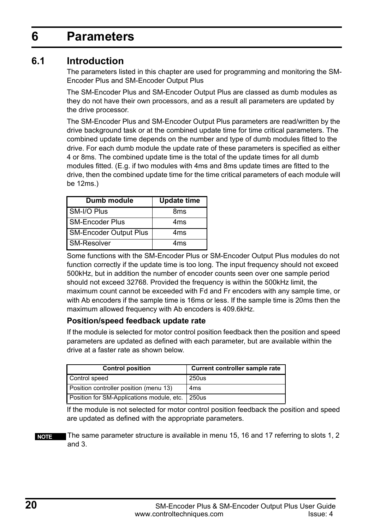## <span id="page-19-2"></span><span id="page-19-0"></span>**6 Parameters**

#### <span id="page-19-1"></span>**6.1 Introduction**

The parameters listed in this chapter are used for programming and monitoring the SM-Encoder Plus and SM-Encoder Output Plus

The SM-Encoder Plus and SM-Encoder Output Plus are classed as dumb modules as they do not have their own processors, and as a result all parameters are updated by the drive processor.

<span id="page-19-4"></span>The SM-Encoder Plus and SM-Encoder Output Plus parameters are read/written by the drive background task or at the combined update time for time critical parameters. The combined update time depends on the number and type of dumb modules fitted to the drive. For each dumb module the update rate of these parameters is specified as either 4 or 8ms. The combined update time is the total of the update times for all dumb modules fitted. (E.g. if two modules with 4ms and 8ms update times are fitted to the drive, then the combined update time for the time critical parameters of each module will be 12ms.)

| Dumb module                   | <b>Update time</b> |
|-------------------------------|--------------------|
| SM-I/O Plus                   | 8ms                |
| <b>SM-Encoder Plus</b>        | 4ms                |
| <b>SM-Encoder Output Plus</b> | 4ms                |
| SM-Resolver                   | 4ms                |

Some functions with the SM-Encoder Plus or SM-Encoder Output Plus modules do not function correctly if the update time is too long. The input frequency should not exceed 500kHz, but in addition the number of encoder counts seen over one sample period should not exceed 32768. Provided the frequency is within the 500kHz limit, the maximum count cannot be exceeded with Fd and Fr encoders with any sample time, or with Ab encoders if the sample time is 16ms or less. If the sample time is 20ms then the maximum allowed frequency with Ab encoders is 409.6kHz.

#### **Position/speed feedback update rate**

If the module is selected for motor control position feedback then the position and speed parameters are updated as defined with each parameter, but are available within the drive at a faster rate as shown below.

| <b>Control position</b>                           | Current controller sample rate |
|---------------------------------------------------|--------------------------------|
| Control speed                                     | 250us                          |
| Position controller position (menu 13)            | 4ms                            |
| Position for SM-Applications module, etc.   250us |                                |

<span id="page-19-3"></span>If the module is not selected for motor control position feedback the position and speed are updated as defined with the appropriate parameters.

The same parameter structure is available in menu 15, 16 and 17 referring to slots 1, 2 and 3. **NOTE**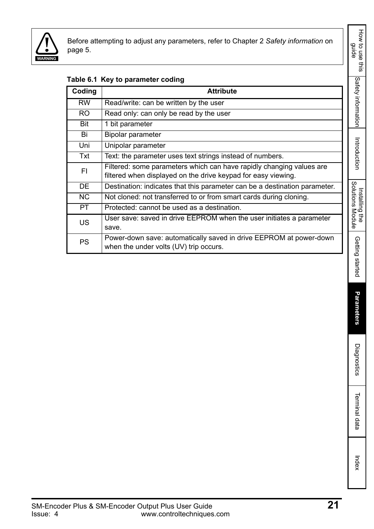

Before attempting to adjust any parameters, refer to Chapter 2 *[Safety information](#page-4-4)* on [page 5](#page-4-4).

<span id="page-20-0"></span>

|  |  | Table 6.1 Key to parameter coding |  |
|--|--|-----------------------------------|--|
|--|--|-----------------------------------|--|

| Coding                 | <b>Attribute</b>                                                                                                                      |
|------------------------|---------------------------------------------------------------------------------------------------------------------------------------|
| <b>RW</b>              | Read/write: can be written by the user                                                                                                |
| RO.                    | Read only: can only be read by the user                                                                                               |
| Bit                    | 1 bit parameter                                                                                                                       |
| Bi                     | Bipolar parameter                                                                                                                     |
| Uni                    | Unipolar parameter                                                                                                                    |
| Txt                    | Text: the parameter uses text strings instead of numbers.                                                                             |
| FI                     | Filtered: some parameters which can have rapidly changing values are<br>filtered when displayed on the drive keypad for easy viewing. |
| DE                     | Destination: indicates that this parameter can be a destination parameter.                                                            |
| $\overline{\text{NC}}$ | Not cloned: not transferred to or from smart cards during cloning.                                                                    |
| PT                     | Protected: cannot be used as a destination.                                                                                           |
| <b>US</b>              | User save: saved in drive EEPROM when the user initiates a parameter<br>save.                                                         |
| <b>PS</b>              | Power-down save: automatically saved in drive EEPROM at power-down<br>when the under volts (UV) trip occurs.                          |

Getting started [Getting started](#page-16-2) Parameters **[Parameters](#page-19-0)**

[How to use this](#page-3-3)  How to use this

[Safety information](#page-4-4)

Safety information

Introduction [Introduction](#page-6-3)

[Installing the Solutions Module](#page-9-2)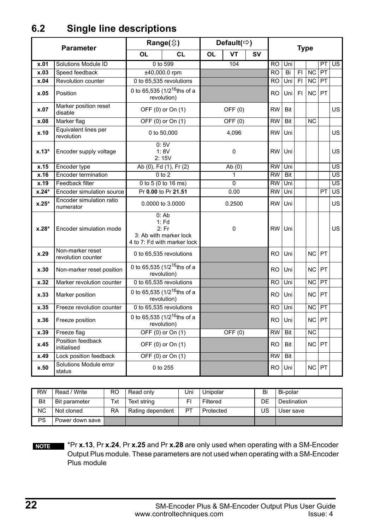#### <span id="page-21-1"></span><span id="page-21-0"></span>**6.2 Single line descriptions**

|         | <b>Parameter</b>                       |                                                        | Range( $\hat{y}$ )                                                               |           | Default( $\Leftrightarrow$ ) |    | <b>Type</b> |            |                |                        |    |           |
|---------|----------------------------------------|--------------------------------------------------------|----------------------------------------------------------------------------------|-----------|------------------------------|----|-------------|------------|----------------|------------------------|----|-----------|
|         |                                        | <b>OL</b>                                              | <b>CL</b>                                                                        | <b>OL</b> | <b>VT</b>                    | SV |             |            |                |                        |    |           |
| x.01    | Solutions Module ID                    |                                                        | 0 to 599                                                                         |           | 104                          |    | RO          | Uni        |                |                        | PТ | <b>US</b> |
| x.03    | Speed feedback                         |                                                        | ±40,000.0 rpm                                                                    |           |                              |    | <b>RO</b>   | Bi         | $\overline{F}$ | <b>NC</b>              | PT |           |
| x.04    | Revolution counter                     |                                                        | 0 to 65.535 revolutions                                                          |           |                              |    | <b>RO</b>   | Uni        | F1             | $\overline{C}$         | PT |           |
| x.05    | Position                               |                                                        | 0 to 65,535 (1/2 <sup>16</sup> ths of a<br>revolution)                           |           |                              |    | <b>RO</b>   | Uni        | F1             | NC.                    | PT |           |
| x.07    | Marker position reset<br>disable       |                                                        | OFF (0) or On (1)                                                                |           | OFF (0)                      |    | <b>RW</b>   | Bit        |                |                        |    | <b>US</b> |
| x.08    | Marker flag                            |                                                        | OFF (0) or On (1)                                                                |           | OFF(0)                       |    | <b>RW</b>   | Bit        |                | NC                     |    |           |
| x.10    | Equivalent lines per<br>revolution     |                                                        | 0 to 50,000                                                                      |           | 4,096                        |    | <b>RW</b>   | Uni        |                |                        |    | US        |
| $x.13*$ | Encoder supply voltage                 |                                                        | 0:5V<br>1:8V<br>2:15V                                                            |           | $\Omega$                     |    | <b>RW</b>   | Uni        |                |                        |    | <b>US</b> |
| x.15    | Encoder type                           |                                                        | Ab (0), Fd (1), Fr (2)                                                           |           | Ab $(0)$                     |    | <b>RW</b>   | Uni        |                |                        |    | <b>US</b> |
| x.16    | Encoder termination                    |                                                        | $0$ to $2$                                                                       |           | 1                            |    | RW          | <b>Bit</b> |                |                        |    | US        |
| x.19    | Feedback filter                        |                                                        | 0 to 5 (0 to 16 ms)                                                              | 0         |                              |    | <b>RW</b>   | Uni        |                |                        |    | US        |
| $x.24*$ | Encoder simulation source              |                                                        | Pr 0.00 to Pr 21.51                                                              |           | 0.00                         |    | <b>RW</b>   | Uni        |                |                        | PT | <b>US</b> |
| $x.25*$ | Encoder simulation ratio<br>numerator  |                                                        | 0.0000 to 3.0000                                                                 |           | 0.2500                       |    | <b>RW</b>   | Uni        |                |                        |    | <b>US</b> |
| $x.28*$ | Encoder simulation mode                |                                                        | $0:$ Ab<br>1:FA<br>2:Fr<br>3: Ab with marker lock<br>4 to 7: Fd with marker lock |           | 0                            |    |             | RW Uni     |                |                        |    | US.       |
| x.29    | Non-marker reset<br>revolution counter |                                                        | 0 to 65,535 revolutions                                                          |           |                              |    | <b>RO</b>   | Uni        |                | NC PT                  |    |           |
| x.30    | Non-marker reset position              |                                                        | 0 to 65,535 (1/2 <sup>16</sup> ths of a<br>revolution)                           |           |                              |    | <b>RO</b>   | Uni        |                | NC I                   | PT |           |
| x.32    | Marker revolution counter              |                                                        | 0 to 65,535 revolutions                                                          |           |                              |    | <b>RO</b>   | Uni        |                | NC                     | PT |           |
| x.33    | Marker position                        | 0 to 65,535 (1/2 <sup>16</sup> ths of a<br>revolution) |                                                                                  |           |                              |    | <b>RO</b>   | Uni        |                | NC I                   | PT |           |
| x.35    | Freeze revolution counter              | 0 to 65,535 revolutions                                |                                                                                  |           |                              |    | <b>RO</b>   | Uni        |                | NC.                    | PT |           |
| x.36    | Freeze position                        | 0 to 65.535 (1/2 <sup>16</sup> ths of a<br>revolution) |                                                                                  |           |                              |    | <b>RO</b>   | Uni        |                | NC I                   | PT |           |
| x.39    | Freeze flag                            | OFF (0) or On (1)                                      |                                                                                  | OFF (0)   |                              |    | RW          | <b>Bit</b> |                | $\overline{\text{NC}}$ |    |           |
| x.45    | Position feedback<br>initialised       | OFF (0) or On (1)                                      |                                                                                  |           |                              |    | <b>RO</b>   | Bit        |                | NC PT                  |    |           |
| x.49    | Lock position feedback                 |                                                        | OFF (0) or On (1)                                                                |           |                              |    | <b>RW</b>   | Bit        |                |                        |    |           |
| x.50    | Solutions Module error<br>status       |                                                        | 0 to 255                                                                         |           |                              |    | <b>RO</b>   | Uni        |                | <b>NC PT</b>           |    |           |

| <b>RW</b> | Read / Write    | RO        | Read only        | Jni | Unipolar  | Bi | Bi-polar    |
|-----------|-----------------|-----------|------------------|-----|-----------|----|-------------|
| Bit       | Bit parameter   | Txt       | Text strina      | FI  | Filtered  | DE | Destination |
| <b>NC</b> | Not cloned      | <b>RA</b> | Rating dependent | PT  | Protected | US | User save   |
| PS        | Power down save |           |                  |     |           |    |             |

\*Pr **x.13**, Pr **x.24**, Pr **x.25** and Pr **x.28** are only used when operating with a SM-Encoder **NOTE**Output Plus module. These parameters are not used when operating with a SM-Encoder Plus module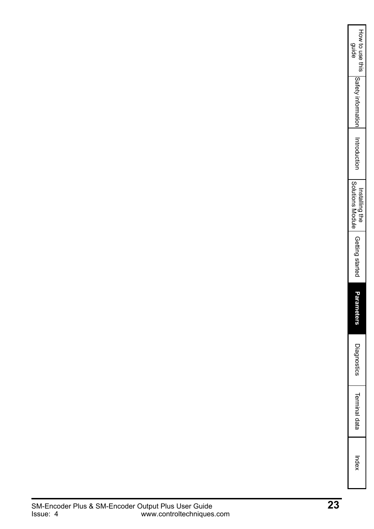| anna S<br>ì.<br>i<br>D  | ξ<br>֦             |
|-------------------------|--------------------|
| Sate                    |                    |
|                         | 5                  |
| $\frac{1}{2}$<br>í<br>ĺ | Ī                  |
| Ĺ                       |                    |
| î                       |                    |
|                         |                    |
| į                       | l<br>$\frac{1}{2}$ |
| i                       | Inclex             |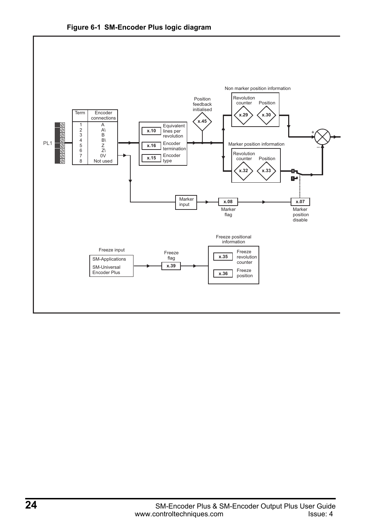<span id="page-23-0"></span>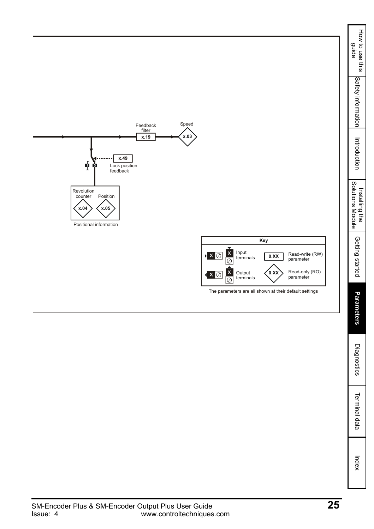

[How to use this](#page-3-3)  How to use this<br>[guide](#page-3-3)

[Safety information](#page-4-4)

Safety information

Introduction [Introduction](#page-6-3)

[Installing the Solutions Module](#page-9-2)

[Getting started](#page-16-2)

Getting started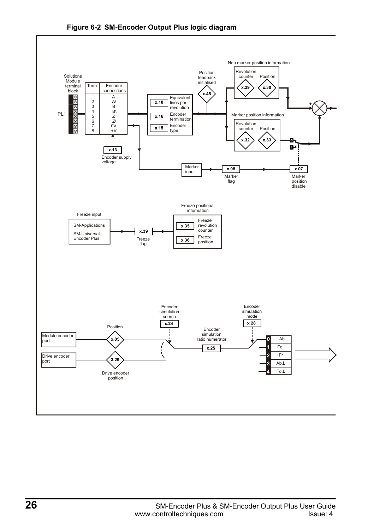<span id="page-25-0"></span>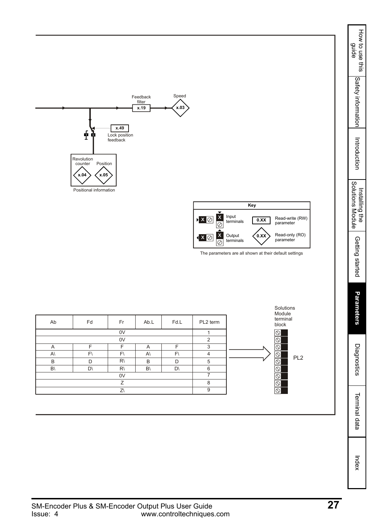Speed Feedback filter **x.19 x.03 x.49** é ŵ Lock position feedbackRevolution counter Position **x.04 x.05** Positional information



The parameters are all shown at their default settings



[How to use this](#page-3-3)  How to use this<br>[guide](#page-3-3)

[Safety information](#page-4-4)

Safety information

[Introduction](#page-6-3)

**[Parameters](#page-19-0)**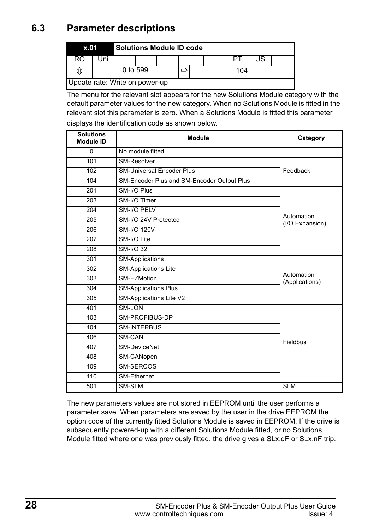#### <span id="page-27-0"></span>**6.3 Parameter descriptions**

<span id="page-27-2"></span><span id="page-27-1"></span>

| x.01                           |     | <b>Solutions Module ID code</b> |  |  |  |  |     |    |  |
|--------------------------------|-----|---------------------------------|--|--|--|--|-----|----|--|
| RO                             | Jni |                                 |  |  |  |  |     | JS |  |
|                                |     | 0 to 599                        |  |  |  |  | 104 |    |  |
| Update rate: Write on power-up |     |                                 |  |  |  |  |     |    |  |

The menu for the relevant slot appears for the new Solutions Module category with the default parameter values for the new category. When no Solutions Module is fitted in the relevant slot this parameter is zero. When a Solutions Module is fitted this parameter displays the identification code as shown below.

| <b>Solutions</b><br><b>Module ID</b> | <b>Module</b>                              | Category                      |  |  |  |  |  |
|--------------------------------------|--------------------------------------------|-------------------------------|--|--|--|--|--|
| $\Omega$                             | No module fitted                           |                               |  |  |  |  |  |
| 101                                  | SM-Resolver                                |                               |  |  |  |  |  |
| 102                                  | <b>SM-Universal Encoder Plus</b>           | Feedback                      |  |  |  |  |  |
| 104                                  | SM-Encoder Plus and SM-Encoder Output Plus |                               |  |  |  |  |  |
| 201                                  | SM-I/O Plus                                |                               |  |  |  |  |  |
| 203                                  | SM-I/O Timer                               |                               |  |  |  |  |  |
| 204                                  | SM-I/O PELV                                |                               |  |  |  |  |  |
| 205                                  | SM-I/O 24V Protected                       | Automation<br>(I/O Expansion) |  |  |  |  |  |
| 206                                  | <b>SM-I/O 120V</b>                         |                               |  |  |  |  |  |
| 207                                  | SM-I/O Lite                                |                               |  |  |  |  |  |
| 208                                  | <b>SM-I/O 32</b>                           |                               |  |  |  |  |  |
| 301                                  | <b>SM-Applications</b>                     |                               |  |  |  |  |  |
| 302                                  | <b>SM-Applications Lite</b>                |                               |  |  |  |  |  |
| 303                                  | SM-EZMotion                                | Automation<br>(Applications)  |  |  |  |  |  |
| 304                                  | <b>SM-Applications Plus</b>                |                               |  |  |  |  |  |
| 305                                  | SM-Applications Lite V2                    |                               |  |  |  |  |  |
| 401                                  | SM-LON                                     |                               |  |  |  |  |  |
| 403                                  | <b>SM-PROFIBUS-DP</b>                      |                               |  |  |  |  |  |
| 404                                  | <b>SM-INTERBUS</b>                         |                               |  |  |  |  |  |
| 406                                  | SM-CAN                                     | Fieldbus                      |  |  |  |  |  |
| 407                                  | <b>SM-DeviceNet</b>                        |                               |  |  |  |  |  |
| 408                                  | SM-CANopen                                 |                               |  |  |  |  |  |
| 409                                  | SM-SERCOS                                  |                               |  |  |  |  |  |
| 410                                  | SM-Ethernet                                |                               |  |  |  |  |  |
| 501                                  | SM-SLM                                     | <b>SLM</b>                    |  |  |  |  |  |

The new parameters values are not stored in EEPROM until the user performs a parameter save. When parameters are saved by the user in the drive EEPROM the option code of the currently fitted Solutions Module is saved in EEPROM. If the drive is subsequently powered-up with a different Solutions Module fitted, or no Solutions Module fitted where one was previously fitted, the drive gives a SLx.dF or SLx.nF trip.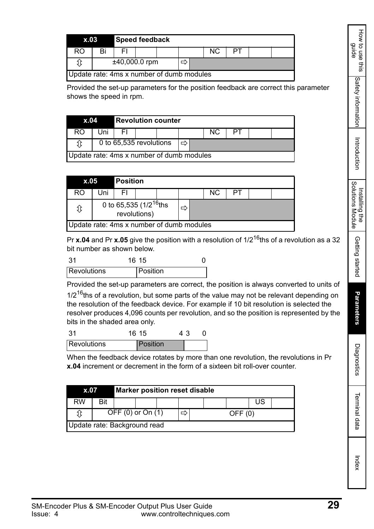| x.03 |                                           |    | <b>Speed feedback</b> |  |  |  |    |  |  |  |
|------|-------------------------------------------|----|-----------------------|--|--|--|----|--|--|--|
| RO   | Bi                                        | FI |                       |  |  |  | NС |  |  |  |
|      |                                           |    | $±40,000.0$ rpm       |  |  |  |    |  |  |  |
|      | Update rate: 4ms x number of dumb modules |    |                       |  |  |  |    |  |  |  |

Provided the set-up parameters for the position feedback are correct this parameter shows the speed in rpm.

| x.04                         |                                           |  | <b>Revolution counter</b> |  |  |  |     |  |  |  |
|------------------------------|-------------------------------------------|--|---------------------------|--|--|--|-----|--|--|--|
| RO                           | l Jni                                     |  |                           |  |  |  | NC. |  |  |  |
| 0 to 65,535 revolutions<br>宀 |                                           |  |                           |  |  |  |     |  |  |  |
|                              | Update rate: 4ms x number of dumb modules |  |                           |  |  |  |     |  |  |  |

| x.05                                      |                                                    | <b>Position</b> |  |  |  |     |  |  |
|-------------------------------------------|----------------------------------------------------|-----------------|--|--|--|-----|--|--|
| RO                                        | Uni                                                |                 |  |  |  | NC. |  |  |
| Įţ                                        | 0 to 65,535 (1/2 <sup>16</sup> ths<br>revolutions) |                 |  |  |  |     |  |  |
| Update rate: 4ms x number of dumb modules |                                                    |                 |  |  |  |     |  |  |

Pr **x.04** and Pr **x.05** give the position with a resolution of 1/2<sup>16</sup>ths of a revolution as a 32 bit number as shown below.

| 3 <sup>4</sup> | 16 15    |  |
|----------------|----------|--|
| Revolutions    | Position |  |

Provided the set-up parameters are correct, the position is always converted to units of

 $1/2^{16}$ ths of a revolution, but some parts of the value may not be relevant depending on the resolution of the feedback device. For example if 10 bit resolution is selected the resolver produces 4,096 counts per revolution, and so the position is represented by the bits in the shaded area only.

| -31         | 16 15    |  |  |
|-------------|----------|--|--|
| Revolutions | Position |  |  |

When the feedback device rotates by more than one revolution, the revolutions in Pr **x.04** increment or decrement in the form of a sixteen bit roll-over counter.

| x.07 |                              |  |  |  | <b>Marker position reset disable</b> |  |         |    |  |
|------|------------------------------|--|--|--|--------------------------------------|--|---------|----|--|
| RW   | Bit                          |  |  |  |                                      |  |         | US |  |
|      | OFF (0) or On (1)            |  |  |  |                                      |  | OFF (0) |    |  |
|      | Update rate: Background read |  |  |  |                                      |  |         |    |  |

Safety information [Safety information](#page-4-4)

[How to use this](#page-3-3)  How to use this<br>[guide](#page-3-3)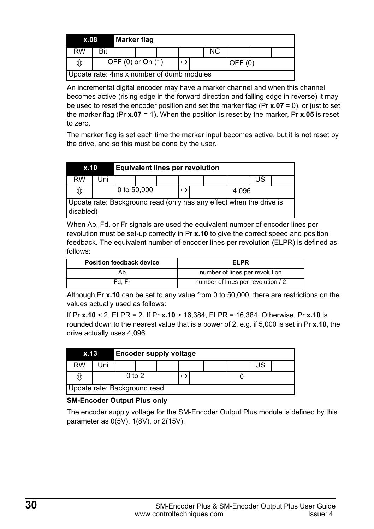| x.08                                      |     | <b>Marker flag</b> |                              |  |  |    |  |  |  |
|-------------------------------------------|-----|--------------------|------------------------------|--|--|----|--|--|--|
| RW                                        | Bit |                    |                              |  |  | ΝC |  |  |  |
|                                           |     |                    | OFF (0) or On (1)<br>OFF (0) |  |  |    |  |  |  |
| Update rate: 4ms x number of dumb modules |     |                    |                              |  |  |    |  |  |  |

An incremental digital encoder may have a marker channel and when this channel becomes active (rising edge in the forward direction and falling edge in reverse) it may be used to reset the encoder position and set the marker flag (Pr **x.07** = 0), or just to set the marker flag (Pr **x.07** = 1). When the position is reset by the marker, Pr **x.05** is reset to zero.

The marker flag is set each time the marker input becomes active, but it is not reset by the drive, and so this must be done by the user.

| x.10      |                                                                                  | <b>Equivalent lines per revolution</b> |                           |  |  |  |  |  |  |  |  |
|-----------|----------------------------------------------------------------------------------|----------------------------------------|---------------------------|--|--|--|--|--|--|--|--|
| <b>RW</b> | Jni                                                                              |                                        | US                        |  |  |  |  |  |  |  |  |
| J¢        |                                                                                  |                                        | 0 to 50,000<br>4.096<br>⊏ |  |  |  |  |  |  |  |  |
|           | Update rate: Background read (only has any effect when the drive is<br>disabled) |                                        |                           |  |  |  |  |  |  |  |  |

When Ab, Fd, or Fr signals are used the equivalent number of encoder lines per revolution must be set-up correctly in Pr **x.10** to give the correct speed and position feedback. The equivalent number of encoder lines per revolution (ELPR) is defined as follows:

| <b>Position feedback device</b> | ELPR                               |
|---------------------------------|------------------------------------|
| Ab                              | number of lines per revolution     |
| Fd. Fr                          | number of lines per revolution / 2 |

Although Pr **x.10** can be set to any value from 0 to 50,000, there are restrictions on the values actually used as follows:

If Pr **x.10** < 2, ELPR = 2. If Pr **x.10** > 16,384, ELPR = 16,384. Otherwise, Pr **x.10** is rounded down to the nearest value that is a power of 2, e.g. if 5,000 is set in Pr **x.10**, the drive actually uses 4,096.

<span id="page-29-0"></span>

|                              | <b>Encoder supply voltage</b><br>x.13 |            |  |  |  |  |    |  |
|------------------------------|---------------------------------------|------------|--|--|--|--|----|--|
| RW                           | Jni                                   |            |  |  |  |  | US |  |
|                              |                                       | $0$ to $2$ |  |  |  |  |    |  |
| Update rate: Background read |                                       |            |  |  |  |  |    |  |

#### **SM-Encoder Output Plus only**

The encoder supply voltage for the SM-Encoder Output Plus module is defined by this parameter as 0(5V), 1(8V), or 2(15V).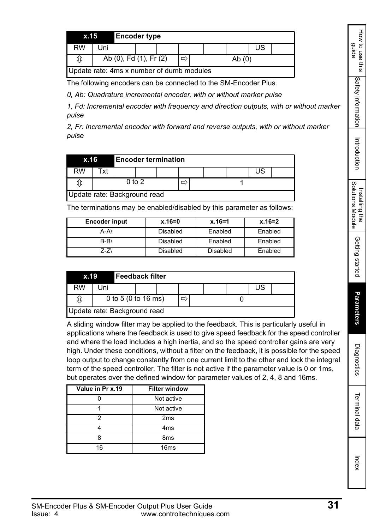<span id="page-30-0"></span>

| x.15                                      |     |                        | <b>Encoder type</b> |  |  |       |    |  |
|-------------------------------------------|-----|------------------------|---------------------|--|--|-------|----|--|
| <b>RW</b>                                 | Uni |                        |                     |  |  |       | US |  |
|                                           |     | Ab (0), Fd (1), Fr (2) |                     |  |  | Ab(0) |    |  |
| Update rate: 4ms x number of dumb modules |     |                        |                     |  |  |       |    |  |

The following encoders can be connected to the SM-Encoder Plus.

*0, Ab: Quadrature incremental encoder, with or without marker pulse*

*1, Fd: Incremental encoder with frequency and direction outputs, with or without marker pulse*

*2, Fr: Incremental encoder with forward and reverse outputs, with or without marker pulse*

| x.16      |                              |            | <b>Encoder termination</b> |  |  |  |  |  |    |  |  |
|-----------|------------------------------|------------|----------------------------|--|--|--|--|--|----|--|--|
| <b>RW</b> | Txt                          |            |                            |  |  |  |  |  | US |  |  |
|           |                              | $0$ to $2$ |                            |  |  |  |  |  |    |  |  |
|           | Update rate: Background read |            |                            |  |  |  |  |  |    |  |  |

The terminations may be enabled/disabled by this parameter as follows:

| <b>Encoder input</b> | $x.16 = 0$      | $x.16 = 1$      | $x.16=2$ |
|----------------------|-----------------|-----------------|----------|
| A-A\                 | <b>Disabled</b> | Enabled         | Enabled  |
| $B-B$                | <b>Disabled</b> | Enabled         | Enabled  |
| 7-7\                 | <b>Disabled</b> | <b>Disabled</b> | Enabled  |

<span id="page-30-1"></span>

| x.19 |                              |  | <b>Feedback filter</b> |  |  |  |  |    |  |  |
|------|------------------------------|--|------------------------|--|--|--|--|----|--|--|
| RW   | Jni                          |  |                        |  |  |  |  | US |  |  |
|      |                              |  | 0 to 5 (0 to 16 ms)    |  |  |  |  |    |  |  |
|      | Update rate: Background read |  |                        |  |  |  |  |    |  |  |

A sliding window filter may be applied to the feedback. This is particularly useful in applications where the feedback is used to give speed feedback for the speed controller and where the load includes a high inertia, and so the speed controller gains are very high. Under these conditions, without a filter on the feedback, it is possible for the speed loop output to change constantly from one current limit to the other and lock the integral term of the speed controller. The filter is not active if the parameter value is 0 or 1ms, but operates over the defined window for parameter values of 2, 4, 8 and 16ms.

| Value in Pr x.19 | <b>Filter window</b> |
|------------------|----------------------|
|                  | Not active           |
|                  | Not active           |
|                  | 2 <sub>ms</sub>      |
|                  | 4 <sub>ms</sub>      |
|                  | 8 <sub>ms</sub>      |
| 16               | 16 <sub>ms</sub>     |

Diagnostics [Diagnostics](#page-34-2)

[How to use this](#page-3-3)  How to use this<br>[guide](#page-3-3)

[Safety information](#page-4-4)

Safety information

Introduction [Introduction](#page-6-3)

[Installing the Solutions Module](#page-9-2)

[Getting started](#page-16-2)

Getting started

**[Parameters](#page-19-0)**

Parameters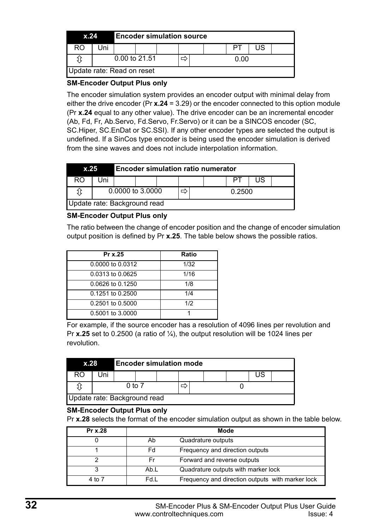|    | <b>Encoder simulation source</b><br>x.24 |               |  |  |  |  |  |      |  |  |  |
|----|------------------------------------------|---------------|--|--|--|--|--|------|--|--|--|
| RO | Jni                                      |               |  |  |  |  |  |      |  |  |  |
|    |                                          | 0.00 to 21.51 |  |  |  |  |  | 0.00 |  |  |  |
|    | Update rate: Read on reset               |               |  |  |  |  |  |      |  |  |  |

#### **SM-Encoder Output Plus only**

The encoder simulation system provides an encoder output with minimal delay from either the drive encoder (Pr **x.24** = 3.29) or the encoder connected to this option module (Pr **x.24** equal to any other value). The drive encoder can be an incremental encoder (Ab, Fd, Fr, Ab.Servo, Fd.Servo, Fr.Servo) or it can be a SINCOS encoder (SC, SC.Hiper, SC.EnDat or SC.SSI). If any other encoder types are selected the output is undefined. If a SinCos type encoder is being used the encoder simulation is derived from the sine waves and does not include interpolation information.

<span id="page-31-0"></span>

| x.25 |                              |                  | <b>Encoder simulation ratio numerator</b> |  |  |  |  |        |  |  |  |  |
|------|------------------------------|------------------|-------------------------------------------|--|--|--|--|--------|--|--|--|--|
| RO   | Jni                          |                  | IJS                                       |  |  |  |  |        |  |  |  |  |
|      |                              | 0.0000 to 3.0000 |                                           |  |  |  |  | 0.2500 |  |  |  |  |
|      | Update rate: Background read |                  |                                           |  |  |  |  |        |  |  |  |  |

#### **SM-Encoder Output Plus only**

The ratio between the change of encoder position and the change of encoder simulation output position is defined by Pr **x.25**. The table below shows the possible ratios.

| Pr x.25          | Ratio |
|------------------|-------|
| 0.0000 to 0.0312 | 1/32  |
| 0.0313 to 0.0625 | 1/16  |
| 0.0626 to 0.1250 | 1/8   |
| 0.1251 to 0.2500 | 1/4   |
| 0.2501 to 0.5000 | 1/2   |
| 0.5001 to 3.0000 |       |

For example, if the source encoder has a resolution of 4096 lines per revolution and Pr **x.25** set to 0.2500 (a ratio of ¼), the output resolution will be 1024 lines per revolution.

| x.28 |                              | <b>Encoder simulation mode</b> |    |  |  |  |  |  |  |  |  |  |  |
|------|------------------------------|--------------------------------|----|--|--|--|--|--|--|--|--|--|--|
| 90   | Jni                          |                                | US |  |  |  |  |  |  |  |  |  |  |
|      |                              | $0$ to $7$                     |    |  |  |  |  |  |  |  |  |  |  |
|      | Update rate: Background read |                                |    |  |  |  |  |  |  |  |  |  |  |

#### **SM-Encoder Output Plus only**

Pr **x.28** selects the format of the encoder simulation output as shown in the table below.

| Pr x.28 |      | Mode                                             |
|---------|------|--------------------------------------------------|
|         | Ab   | Quadrature outputs                               |
|         | Fd   | Frequency and direction outputs                  |
|         | Fr   | Forward and reverse outputs                      |
|         | Ab.L | Quadrature outputs with marker lock              |
| 4 to 7  | Fd I | Frequency and direction outputs with marker lock |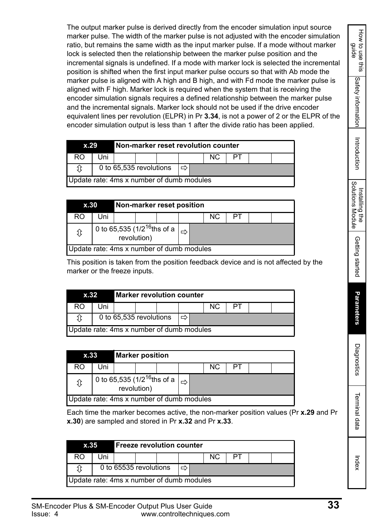The output marker pulse is derived directly from the encoder simulation input source marker pulse. The width of the marker pulse is not adjusted with the encoder simulation ratio, but remains the same width as the input marker pulse. If a mode without marker lock is selected then the relationship between the marker pulse position and the incremental signals is undefined. If a mode with marker lock is selected the incremental position is shifted when the first input marker pulse occurs so that with Ab mode the marker pulse is aligned with A high and B high, and with Fd mode the marker pulse is aligned with F high. Marker lock is required when the system that is receiving the encoder simulation signals requires a defined relationship between the marker pulse and the incremental signals. Marker lock should not be used if the drive encoder equivalent lines per revolution (ELPR) in Pr **3.34**, is not a power of 2 or the ELPR of the encoder simulation output is less than 1 after the divide ratio has been applied.

|                                           | Non-marker reset revolution counter<br>x 29 |                         |  |  |  |  |     |  |  |  |
|-------------------------------------------|---------------------------------------------|-------------------------|--|--|--|--|-----|--|--|--|
| RO                                        | Uni                                         |                         |  |  |  |  | NC. |  |  |  |
|                                           |                                             | 0 to 65,535 revolutions |  |  |  |  |     |  |  |  |
| Update rate: 4ms x number of dumb modules |                                             |                         |  |  |  |  |     |  |  |  |

| x.30 |                                           |             |  | Non-marker reset position                                     |  |  |    |  |  |  |
|------|-------------------------------------------|-------------|--|---------------------------------------------------------------|--|--|----|--|--|--|
| RO   | Uni                                       |             |  |                                                               |  |  | ΝC |  |  |  |
| ⇕    |                                           | revolution) |  | 0 to 65,535 (1/2 <sup>16</sup> ths of a $\vert$ $\Rightarrow$ |  |  |    |  |  |  |
|      | Update rate: 4ms x number of dumb modules |             |  |                                                               |  |  |    |  |  |  |

This position is taken from the position feedback device and is not affected by the marker or the freeze inputs.

| x.32 |                                           |                         | <b>Marker revolution counter</b> |  |      |  |  |  |  |  |  |  |
|------|-------------------------------------------|-------------------------|----------------------------------|--|------|--|--|--|--|--|--|--|
| КC   | l Jni                                     |                         | NC.                              |  |      |  |  |  |  |  |  |  |
|      |                                           | 0 to 65,535 revolutions |                                  |  | l c> |  |  |  |  |  |  |  |
|      | Update rate: 4ms x number of dumb modules |                         |                                  |  |      |  |  |  |  |  |  |  |

| x.33                                      |     | <b>Marker position</b>                                 |     |  |  |  |  |  |  |  |
|-------------------------------------------|-----|--------------------------------------------------------|-----|--|--|--|--|--|--|--|
|                                           | Uni |                                                        | NC. |  |  |  |  |  |  |  |
| ſt                                        |     | 0 to 65,535 (1/2 <sup>16</sup> ths of a<br>revolution) |     |  |  |  |  |  |  |  |
| Update rate: 4ms x number of dumb modules |     |                                                        |     |  |  |  |  |  |  |  |

Each time the marker becomes active, the non-marker position values (Pr **x.29** and Pr **x.30**) are sampled and stored in Pr **x.32** and Pr **x.33**.

| x.35                                      |     | <b>Freeze revolution counter</b> |     |  |  |  |  |  |  |  |  |  |
|-------------------------------------------|-----|----------------------------------|-----|--|--|--|--|--|--|--|--|--|
|                                           | Jni |                                  | NC. |  |  |  |  |  |  |  |  |  |
|                                           |     | 0 to 65535 revolutions           |     |  |  |  |  |  |  |  |  |  |
| Update rate: 4ms x number of dumb modules |     |                                  |     |  |  |  |  |  |  |  |  |  |

[How to use this](#page-3-3)  How to use this<br>[guide](#page-3-3)

[Safety information](#page-4-4)

Safety information

Introduction [Introduction](#page-6-3)

Installing the<br>Solutions Module

[Getting started](#page-16-2)

Getting started

**[Parameters](#page-19-0)**

**Parameters** 

[Diagnostics](#page-34-2)

Diagnostics

[Terminal data](#page-37-2)

Terminal data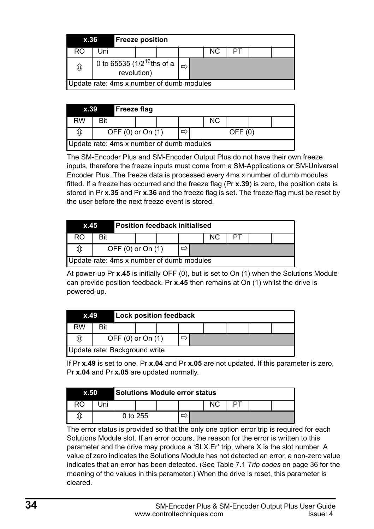| x.36                                      |     |                                                       | <b>Freeze position</b> |  |  |  |     |  |  |  |  |  |
|-------------------------------------------|-----|-------------------------------------------------------|------------------------|--|--|--|-----|--|--|--|--|--|
| RO                                        | Uni |                                                       |                        |  |  |  | NC. |  |  |  |  |  |
| ⇕                                         |     | 0 to 65535 (1/2 <sup>16</sup> ths of a<br>revolution) |                        |  |  |  |     |  |  |  |  |  |
| Update rate: 4ms x number of dumb modules |     |                                                       |                        |  |  |  |     |  |  |  |  |  |

<span id="page-33-2"></span>

| x.39      |                                           | <b>Freeze flag</b> |  |  |  |  |    |         |  |  |  |
|-----------|-------------------------------------------|--------------------|--|--|--|--|----|---------|--|--|--|
| <b>RW</b> | Bit                                       |                    |  |  |  |  | ΝC |         |  |  |  |
|           |                                           | OFF (0) or On (1)  |  |  |  |  |    | OFF (0) |  |  |  |
|           | Update rate: 4ms x number of dumb modules |                    |  |  |  |  |    |         |  |  |  |

<span id="page-33-1"></span>The SM-Encoder Plus and SM-Encoder Output Plus do not have their own freeze inputs, therefore the freeze inputs must come from a SM-Applications or SM-Universal Encoder Plus. The freeze data is processed every 4ms x number of dumb modules fitted. If a freeze has occurred and the freeze flag (Pr **x.39**) is zero, the position data is stored in Pr **x.35** and Pr **x.36** and the freeze flag is set. The freeze flag must be reset by the user before the next freeze event is stored.

| l Position feedback initialised<br>x.45   |                   |  |     |  |  |  |  |  |  |  |  |  |
|-------------------------------------------|-------------------|--|-----|--|--|--|--|--|--|--|--|--|
| RO                                        | Bit               |  | NC. |  |  |  |  |  |  |  |  |  |
|                                           | OFF (0) or On (1) |  |     |  |  |  |  |  |  |  |  |  |
| Update rate: 4ms x number of dumb modules |                   |  |     |  |  |  |  |  |  |  |  |  |

At power-up Pr **x.45** is initially OFF (0), but is set to On (1) when the Solutions Module can provide position feedback. Pr **x.45** then remains at On (1) whilst the drive is powered-up.

| x.49 |                               | <b>Lock position feedback</b> |  |   |  |  |  |  |  |
|------|-------------------------------|-------------------------------|--|---|--|--|--|--|--|
| RW   | Bit                           |                               |  |   |  |  |  |  |  |
|      | OFF (0) or On (1)             |                               |  | ⊏ |  |  |  |  |  |
|      | Update rate: Background write |                               |  |   |  |  |  |  |  |

If Pr **x.49** is set to one, Pr **x.04** and Pr **x.05** are not updated. If this parameter is zero, Pr **x.04** and Pr **x.05** are updated normally.

<span id="page-33-0"></span>

| x.50 |     | Solutions Module error status |          |  |  |  |    |    |  |
|------|-----|-------------------------------|----------|--|--|--|----|----|--|
| ₹Ο   | Jni |                               |          |  |  |  | ΝC | דם |  |
|      |     |                               | 0 to 255 |  |  |  |    |    |  |

The error status is provided so that the only one option error trip is required for each Solutions Module slot. If an error occurs, the reason for the error is written to this parameter and the drive may produce a 'SLX.Er' trip, where X is the slot number. A value of zero indicates the Solutions Module has not detected an error, a non-zero value indicates that an error has been detected. (See Table 7.1 *Trip codes* [on page 36](#page-35-0) for the meaning of the values in this parameter.) When the drive is reset, this parameter is cleared.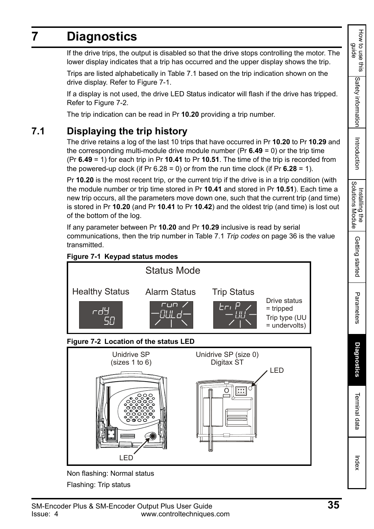# Safety information [Safety information](#page-4-4)

[Installing the Solutions Module](#page-9-2)

[Getting started](#page-16-2)

Getting started

[Parameters](#page-19-2)

Parameters

**[Diagnostics](#page-34-0)**

Diagnostics

[Terminal data](#page-37-2)

Terminal l data

[Index](#page-39-0)

## <span id="page-34-0"></span>**7 Diagnostics**

<span id="page-34-2"></span>If the drive trips, the output is disabled so that the drive stops controlling the motor. The lower display indicates that a trip has occurred and the upper display shows the trip.

Trips are listed alphabetically in Table 7.1 based on the trip indication shown on the drive display. Refer to [Figure 7-1](#page-34-3).

If a display is not used, the drive LED Status indicator will flash if the drive has tripped. Refer to Figure 7-2.

<span id="page-34-5"></span>The trip indication can be read in Pr **10.20** providing a trip number.

### <span id="page-34-1"></span>**7.1 Displaying the trip history**

The drive retains a log of the last 10 trips that have occurred in Pr **10.20** to Pr **10.29** and the corresponding multi-module drive module number (Pr **6.49** = 0) or the trip time (Pr **6.49** = 1) for each trip in Pr **10.41** to Pr **10.51**. The time of the trip is recorded from the powered-up clock (if  $Pr 6.28 = 0$ ) or from the run time clock (if  $Pr 6.28 = 1$ ).

Pr **10.20** is the most recent trip, or the current trip if the drive is in a trip condition (with the module number or trip time stored in Pr **10.41** and stored in Pr **10.51**). Each time a new trip occurs, all the parameters move down one, such that the current trip (and time) is stored in Pr **10.20** (and Pr **10.41** to Pr **10.42**) and the oldest trip (and time) is lost out of the bottom of the log.

If any parameter between Pr **10.20** and Pr **10.29** inclusive is read by serial communications, then the trip number in Table 7.1 *Trip codes* on page 36 is the value transmitted.



#### <span id="page-34-4"></span><span id="page-34-3"></span>**Figure 7-1 Keypad status modes**

Non flashing: Normal status

Flashing: Trip status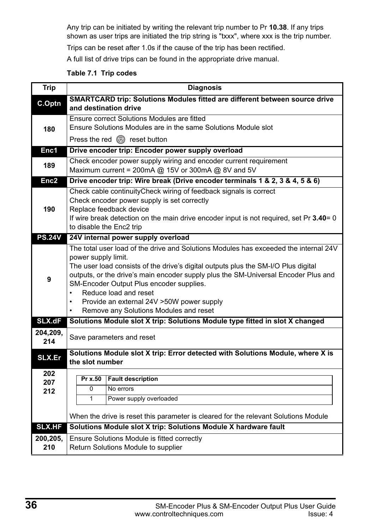Any trip can be initiated by writing the relevant trip number to Pr **10.38**. If any trips shown as user trips are initiated the trip string is "txxx", where xxx is the trip number.

Trips can be reset after 1.0s if the cause of the trip has been rectified.

<span id="page-35-0"></span>A full list of drive trips can be found in the appropriate drive manual.

#### <span id="page-35-1"></span>**Table 7.1 Trip codes**

| <b>Trip</b>       | <b>Diagnosis</b>                                                                                                                                                                                                                                                                                                                                                                                                                                                  |
|-------------------|-------------------------------------------------------------------------------------------------------------------------------------------------------------------------------------------------------------------------------------------------------------------------------------------------------------------------------------------------------------------------------------------------------------------------------------------------------------------|
| C.Optn            | SMARTCARD trip: Solutions Modules fitted are different between source drive<br>and destination drive                                                                                                                                                                                                                                                                                                                                                              |
| 180               | Ensure correct Solutions Modules are fitted<br>Ensure Solutions Modules are in the same Solutions Module slot<br>Press the red (a) reset button                                                                                                                                                                                                                                                                                                                   |
| Enc1              | Drive encoder trip: Encoder power supply overload                                                                                                                                                                                                                                                                                                                                                                                                                 |
| 189               | Check encoder power supply wiring and encoder current requirement<br>Maximum current = 200mA @ 15V or 300mA @ 8V and 5V                                                                                                                                                                                                                                                                                                                                           |
| Enc <sub>2</sub>  | Drive encoder trip: Wire break (Drive encoder terminals 1 & 2, 3 & 4, 5 & 6)                                                                                                                                                                                                                                                                                                                                                                                      |
| 190               | Check cable continuityCheck wiring of feedback signals is correct<br>Check encoder power supply is set correctly<br>Replace feedback device<br>If wire break detection on the main drive encoder input is not required, set Pr 3.40= 0<br>to disable the Enc2 trip                                                                                                                                                                                                |
| <b>PS.24V</b>     | 24V internal power supply overload                                                                                                                                                                                                                                                                                                                                                                                                                                |
| 9                 | The total user load of the drive and Solutions Modules has exceeded the internal 24V<br>power supply limit.<br>The user load consists of the drive's digital outputs plus the SM-I/O Plus digital<br>outputs, or the drive's main encoder supply plus the SM-Universal Encoder Plus and<br>SM-Encoder Output Plus encoder supplies.<br>Reduce load and reset<br>Provide an external 24V > 50W power supply<br>Remove any Solutions Modules and reset<br>$\bullet$ |
| SLX.dF            | Solutions Module slot X trip: Solutions Module type fitted in slot X changed                                                                                                                                                                                                                                                                                                                                                                                      |
| 204,209,<br>214   | Save parameters and reset                                                                                                                                                                                                                                                                                                                                                                                                                                         |
| SLX.Er            | Solutions Module slot X trip: Error detected with Solutions Module, where X is<br>the slot number                                                                                                                                                                                                                                                                                                                                                                 |
| 202<br>207<br>212 | Pr x.50<br><b>Fault description</b><br>No errors<br>0<br>1<br>Power supply overloaded<br>When the drive is reset this parameter is cleared for the relevant Solutions Module                                                                                                                                                                                                                                                                                      |
| <b>SLX.HF</b>     | Solutions Module slot X trip: Solutions Module X hardware fault                                                                                                                                                                                                                                                                                                                                                                                                   |
| 200,205,<br>210   | Ensure Solutions Module is fitted correctly<br>Return Solutions Module to supplier                                                                                                                                                                                                                                                                                                                                                                                |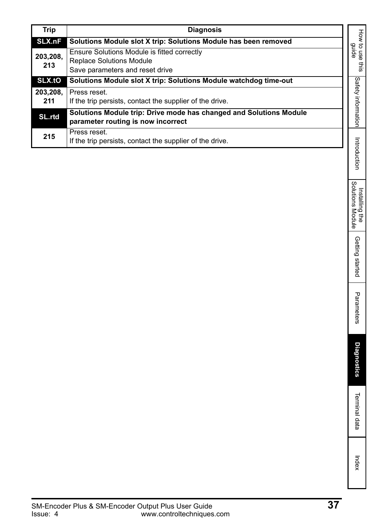| Trip            | <b>Diagnosis</b>                                                                                                  |                       |
|-----------------|-------------------------------------------------------------------------------------------------------------------|-----------------------|
| SLX.nF          | Solutions Module slot X trip: Solutions Module has been removed                                                   | How to                |
| 203,208,<br>213 | Ensure Solutions Module is fitted correctly<br><b>Replace Solutions Module</b><br>Save parameters and reset drive | anide<br>guide<br>mis |
| SLX.tO          | Solutions Module slot X trip: Solutions Module watchdog time-out                                                  | Safety                |
| 203,208,<br>211 | Press reset.<br>If the trip persists, contact the supplier of the drive.                                          |                       |
| SL.rtd          | Solutions Module trip: Drive mode has changed and Solutions Module<br>parameter routing is now incorrect          | information           |
| 215             | Press reset.<br>If the trip persists, contact the supplier of the drive.                                          |                       |
|                 |                                                                                                                   | Introduction          |

Installing the<br>Solutions Module

Parameters [Parameters](#page-19-2)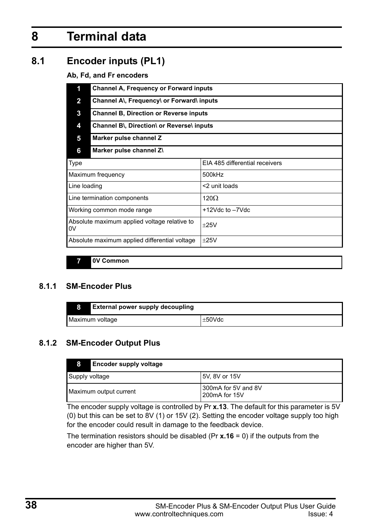## <span id="page-37-2"></span><span id="page-37-0"></span>**8 Terminal data**

#### <span id="page-37-1"></span>**8.1 Encoder inputs (PL1)**

#### <span id="page-37-3"></span>**Ab, Fd, and Fr encoders**

<span id="page-37-5"></span>

| 1                                                  | Channel A, Frequency or Forward inputs        |                                |  |  |  |
|----------------------------------------------------|-----------------------------------------------|--------------------------------|--|--|--|
| $\overline{\mathbf{2}}$                            | Channel A\, Frequency\ or Forward\ inputs     |                                |  |  |  |
| 3                                                  | <b>Channel B. Direction or Reverse inputs</b> |                                |  |  |  |
| 4                                                  | Channel B\, Direction\ or Reverse\ inputs     |                                |  |  |  |
| 5                                                  | Marker pulse channel Z                        |                                |  |  |  |
| 6                                                  | Marker pulse channel Z\                       |                                |  |  |  |
| <b>Type</b>                                        |                                               | EIA 485 differential receivers |  |  |  |
|                                                    | Maximum frequency                             | 500kHz                         |  |  |  |
| Line loading                                       |                                               | <2 unit loads                  |  |  |  |
|                                                    | Line termination components                   | 120 $\Omega$                   |  |  |  |
|                                                    | Working common mode range                     | +12Vdc to -7Vdc                |  |  |  |
| Absolute maximum applied voltage relative to<br>0V |                                               | ±25V                           |  |  |  |
|                                                    | Absolute maximum applied differential voltage | ±25V                           |  |  |  |

<span id="page-37-6"></span><span id="page-37-4"></span>**7 0V Common**

#### **8.1.1 SM-Encoder Plus**

| 8               | <b>External power supply decoupling</b> |        |
|-----------------|-----------------------------------------|--------|
| Maximum voltage |                                         | ±50Vdc |

#### **8.1.2 SM-Encoder Output Plus**

| 8              | <b>Encoder supply voltage</b> |                                      |
|----------------|-------------------------------|--------------------------------------|
| Supply voltage |                               | 5V, 8V or 15V                        |
|                | Maximum output current        | 300mA for 5V and 8V<br>200mA for 15V |

The encoder supply voltage is controlled by Pr **x.13**. The default for this parameter is 5V (0) but this can be set to 8V (1) or 15V (2). Setting the encoder voltage supply too high for the encoder could result in damage to the feedback device.

The termination resistors should be disabled (Pr **x.16** = 0) if the outputs from the encoder are higher than 5V.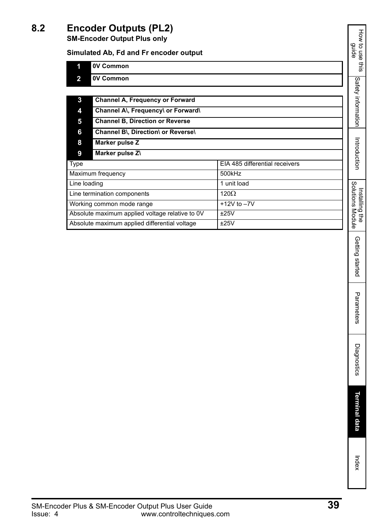## <span id="page-38-0"></span>**8.2 Encoder Outputs (PL2)**

<span id="page-38-1"></span>**SM-Encoder Output Plus only**

#### **Simulated Ab, Fd and Fr encoder output**

|   | Simulated Ab. Fd and Fr encoder output | ∞<br>ō      |
|---|----------------------------------------|-------------|
|   | 0V Common                              |             |
| 2 | <b>OV Common</b>                       | Safety      |
|   |                                        |             |
| 3 | <b>Channel A, Frequency or Forward</b> |             |
| 4 | Channel A\, Frequency\ or Forward\     | informatior |
| 5 | <b>Channel B, Direction or Reverse</b> |             |

<span id="page-38-3"></span><span id="page-38-2"></span>

| 3                                               | <b>Channel A, Frequency or Forward</b>        |                                |  |                                                |
|-------------------------------------------------|-----------------------------------------------|--------------------------------|--|------------------------------------------------|
| 4                                               | Channel A\, Frequency\ or Forward\            |                                |  | information                                    |
| 5                                               | <b>Channel B, Direction or Reverse</b>        |                                |  |                                                |
| 6                                               | Channel B\, Direction\ or Reverse\            |                                |  |                                                |
| 8                                               | Marker pulse Z                                |                                |  |                                                |
| 9                                               | Marker pulse Z\                               |                                |  | Introduction                                   |
| Type                                            |                                               | EIA 485 differential receivers |  |                                                |
| Maximum frequency                               |                                               | 500kHz                         |  |                                                |
| Line loading                                    |                                               | 1 unit load                    |  |                                                |
| Line termination components                     |                                               | $120\Omega$                    |  | Solutions<br>Installing the<br>olutions Module |
| Working common mode range                       |                                               | $+12V$ to $-7V$                |  |                                                |
| Absolute maximum applied voltage relative to 0V |                                               | ±25V                           |  |                                                |
|                                                 | Absolute maximum applied differential voltage | ±25V                           |  |                                                |

[How to use this](#page-3-3)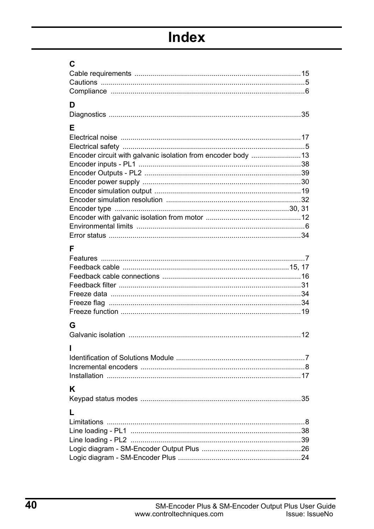<span id="page-39-1"></span><span id="page-39-0"></span>

| C                                                                                                                                                                                                                                  |  |
|------------------------------------------------------------------------------------------------------------------------------------------------------------------------------------------------------------------------------------|--|
|                                                                                                                                                                                                                                    |  |
|                                                                                                                                                                                                                                    |  |
|                                                                                                                                                                                                                                    |  |
| D                                                                                                                                                                                                                                  |  |
|                                                                                                                                                                                                                                    |  |
| Е                                                                                                                                                                                                                                  |  |
|                                                                                                                                                                                                                                    |  |
|                                                                                                                                                                                                                                    |  |
| Encoder circuit with galvanic isolation from encoder body  13                                                                                                                                                                      |  |
|                                                                                                                                                                                                                                    |  |
|                                                                                                                                                                                                                                    |  |
|                                                                                                                                                                                                                                    |  |
|                                                                                                                                                                                                                                    |  |
|                                                                                                                                                                                                                                    |  |
|                                                                                                                                                                                                                                    |  |
|                                                                                                                                                                                                                                    |  |
|                                                                                                                                                                                                                                    |  |
|                                                                                                                                                                                                                                    |  |
| F                                                                                                                                                                                                                                  |  |
|                                                                                                                                                                                                                                    |  |
|                                                                                                                                                                                                                                    |  |
|                                                                                                                                                                                                                                    |  |
|                                                                                                                                                                                                                                    |  |
|                                                                                                                                                                                                                                    |  |
|                                                                                                                                                                                                                                    |  |
|                                                                                                                                                                                                                                    |  |
| G                                                                                                                                                                                                                                  |  |
|                                                                                                                                                                                                                                    |  |
| L                                                                                                                                                                                                                                  |  |
|                                                                                                                                                                                                                                    |  |
|                                                                                                                                                                                                                                    |  |
|                                                                                                                                                                                                                                    |  |
|                                                                                                                                                                                                                                    |  |
| κ                                                                                                                                                                                                                                  |  |
|                                                                                                                                                                                                                                    |  |
| L                                                                                                                                                                                                                                  |  |
|                                                                                                                                                                                                                                    |  |
|                                                                                                                                                                                                                                    |  |
|                                                                                                                                                                                                                                    |  |
|                                                                                                                                                                                                                                    |  |
| <u>Logic diagram - SM-Encoder Plus</u> and the control of the control of the control of the control of the control of the control of the control of the control of the control of the control of the control of the control of the |  |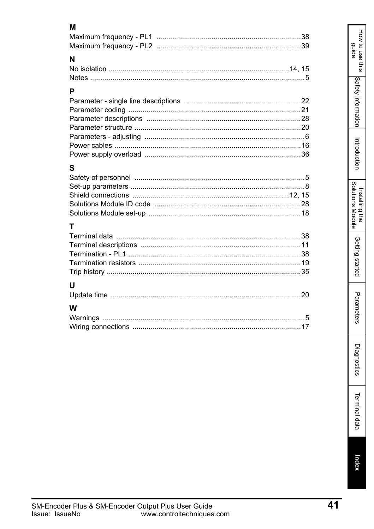#### M

| N<br>No icolotion | 14 15 |  |
|-------------------|-------|--|

| <b>Notes</b> |  |
|--------------|--|
|              |  |

#### P

#### $\mathbf{s}$

#### $\mathbf{r}$

| u |  |
|---|--|
| W |  |
|   |  |
|   |  |